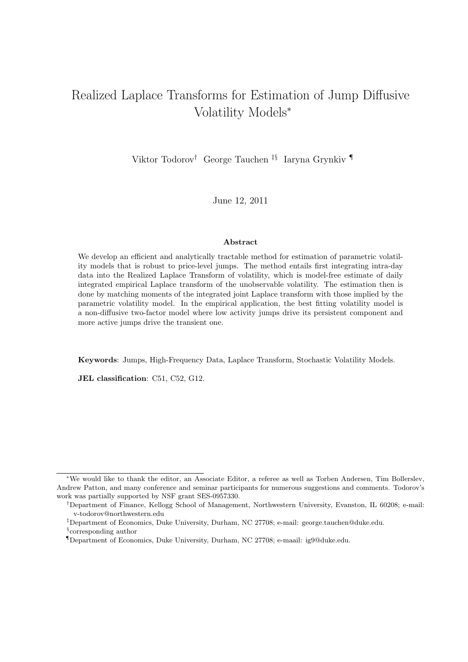# Realized Laplace Transforms for Estimation of Jump Diffusive Volatility Models*<sup>∗</sup>*

Viktor Todorov*†* George Tauchen *‡§* Iaryna Grynkiv *¶*

June 12, 2011

#### **Abstract**

We develop an efficient and analytically tractable method for estimation of parametric volatility models that is robust to price-level jumps. The method entails first integrating intra-day data into the Realized Laplace Transform of volatility, which is model-free estimate of daily integrated empirical Laplace transform of the unobservable volatility. The estimation then is done by matching moments of the integrated joint Laplace transform with those implied by the parametric volatility model. In the empirical application, the best fitting volatility model is a non-diffusive two-factor model where low activity jumps drive its persistent component and more active jumps drive the transient one.

**Keywords**: Jumps, High-Frequency Data, Laplace Transform, Stochastic Volatility Models.

**JEL classification**: C51, C52, G12.

*<sup>∗</sup>*We would like to thank the editor, an Associate Editor, a referee as well as Torben Andersen, Tim Bollerslev, Andrew Patton, and many conference and seminar participants for numerous suggestions and comments. Todorov's work was partially supported by NSF grant SES-0957330.

*<sup>†</sup>*Department of Finance, Kellogg School of Management, Northwestern University, Evanston, IL 60208; e-mail: v-todorov@northwestern.edu

*<sup>‡</sup>*Department of Economics, Duke University, Durham, NC 27708; e-mail: george.tauchen@duke.edu.

*<sup>§</sup>* corresponding author

*<sup>¶</sup>*Department of Economics, Duke University, Durham, NC 27708; e-maail: ig9@duke.edu.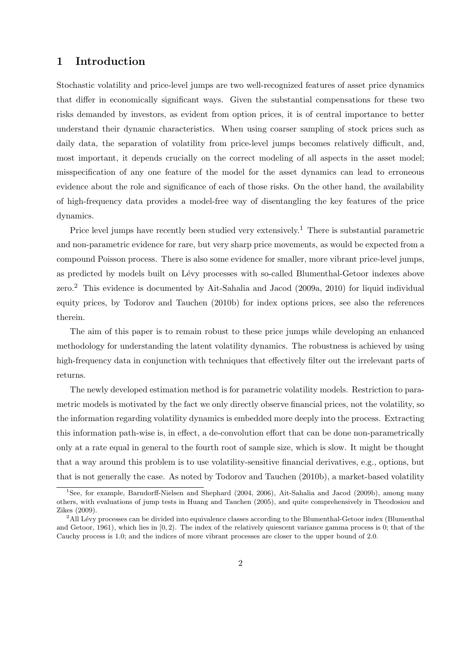# **1 Introduction**

Stochastic volatility and price-level jumps are two well-recognized features of asset price dynamics that differ in economically significant ways. Given the substantial compensations for these two risks demanded by investors, as evident from option prices, it is of central importance to better understand their dynamic characteristics. When using coarser sampling of stock prices such as daily data, the separation of volatility from price-level jumps becomes relatively difficult, and, most important, it depends crucially on the correct modeling of all aspects in the asset model; misspecification of any one feature of the model for the asset dynamics can lead to erroneous evidence about the role and significance of each of those risks. On the other hand, the availability of high-frequency data provides a model-free way of disentangling the key features of the price dynamics.

Price level jumps have recently been studied very extensively.<sup>1</sup> There is substantial parametric and non-parametric evidence for rare, but very sharp price movements, as would be expected from a compound Poisson process. There is also some evidence for smaller, more vibrant price-level jumps, as predicted by models built on Lévy processes with so-called Blumenthal-Getoor indexes above zero.<sup>2</sup> This evidence is documented by Ait-Sahalia and Jacod (2009a, 2010) for liquid individual equity prices, by Todorov and Tauchen (2010b) for index options prices, see also the references therein.

The aim of this paper is to remain robust to these price jumps while developing an enhanced methodology for understanding the latent volatility dynamics. The robustness is achieved by using high-frequency data in conjunction with techniques that effectively filter out the irrelevant parts of returns.

The newly developed estimation method is for parametric volatility models. Restriction to parametric models is motivated by the fact we only directly observe financial prices, not the volatility, so the information regarding volatility dynamics is embedded more deeply into the process. Extracting this information path-wise is, in effect, a de-convolution effort that can be done non-parametrically only at a rate equal in general to the fourth root of sample size, which is slow. It might be thought that a way around this problem is to use volatility-sensitive financial derivatives, e.g., options, but that is not generally the case. As noted by Todorov and Tauchen (2010b), a market-based volatility

<sup>1</sup>See, for example, Barndorff-Nielsen and Shephard (2004, 2006), Ait-Sahalia and Jacod (2009b), among many others, with evaluations of jump tests in Huang and Tauchen (2005), and quite comprehensively in Theodosiou and Zikes (2009).

<sup>&</sup>lt;sup>2</sup>All Lévy processes can be divided into equivalence classes according to the Blumenthal-Getoor index (Blumenthal and Getoor, 1961), which lies in [0*,* 2). The index of the relatively quiescent variance gamma process is 0; that of the Cauchy process is 1*.*0; and the indices of more vibrant processes are closer to the upper bound of 2*.*0.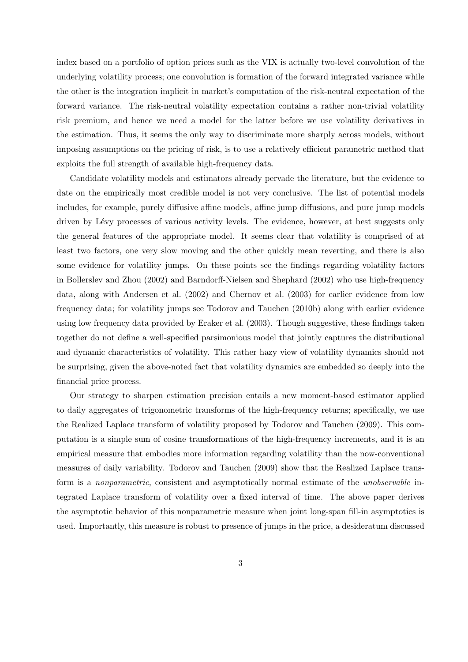index based on a portfolio of option prices such as the VIX is actually two-level convolution of the underlying volatility process; one convolution is formation of the forward integrated variance while the other is the integration implicit in market's computation of the risk-neutral expectation of the forward variance. The risk-neutral volatility expectation contains a rather non-trivial volatility risk premium, and hence we need a model for the latter before we use volatility derivatives in the estimation. Thus, it seems the only way to discriminate more sharply across models, without imposing assumptions on the pricing of risk, is to use a relatively efficient parametric method that exploits the full strength of available high-frequency data.

Candidate volatility models and estimators already pervade the literature, but the evidence to date on the empirically most credible model is not very conclusive. The list of potential models includes, for example, purely diffusive affine models, affine jump diffusions, and pure jump models driven by Lévy processes of various activity levels. The evidence, however, at best suggests only the general features of the appropriate model. It seems clear that volatility is comprised of at least two factors, one very slow moving and the other quickly mean reverting, and there is also some evidence for volatility jumps. On these points see the findings regarding volatility factors in Bollerslev and Zhou (2002) and Barndorff-Nielsen and Shephard (2002) who use high-frequency data, along with Andersen et al. (2002) and Chernov et al. (2003) for earlier evidence from low frequency data; for volatility jumps see Todorov and Tauchen (2010b) along with earlier evidence using low frequency data provided by Eraker et al. (2003). Though suggestive, these findings taken together do not define a well-specified parsimonious model that jointly captures the distributional and dynamic characteristics of volatility. This rather hazy view of volatility dynamics should not be surprising, given the above-noted fact that volatility dynamics are embedded so deeply into the financial price process.

Our strategy to sharpen estimation precision entails a new moment-based estimator applied to daily aggregates of trigonometric transforms of the high-frequency returns; specifically, we use the Realized Laplace transform of volatility proposed by Todorov and Tauchen (2009). This computation is a simple sum of cosine transformations of the high-frequency increments, and it is an empirical measure that embodies more information regarding volatility than the now-conventional measures of daily variability. Todorov and Tauchen (2009) show that the Realized Laplace transform is a *nonparametric*, consistent and asymptotically normal estimate of the *unobservable* integrated Laplace transform of volatility over a fixed interval of time. The above paper derives the asymptotic behavior of this nonparametric measure when joint long-span fill-in asymptotics is used. Importantly, this measure is robust to presence of jumps in the price, a desideratum discussed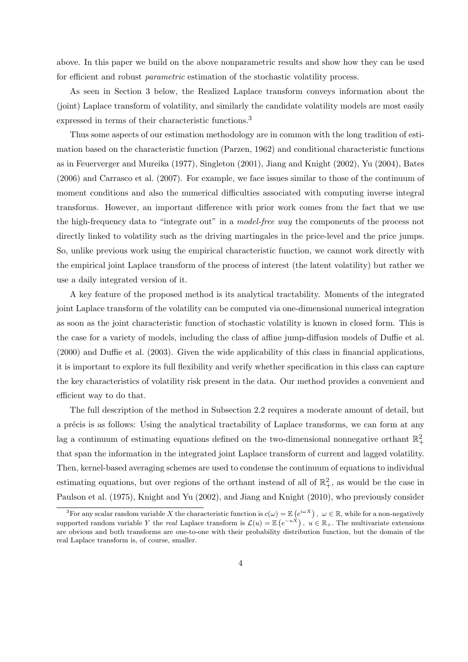above. In this paper we build on the above nonparametric results and show how they can be used for efficient and robust *parametric* estimation of the stochastic volatility process.

As seen in Section 3 below, the Realized Laplace transform conveys information about the (joint) Laplace transform of volatility, and similarly the candidate volatility models are most easily expressed in terms of their characteristic functions.<sup>3</sup>

Thus some aspects of our estimation methodology are in common with the long tradition of estimation based on the characteristic function (Parzen, 1962) and conditional characteristic functions as in Feuerverger and Mureika (1977), Singleton (2001), Jiang and Knight (2002), Yu (2004), Bates (2006) and Carrasco et al. (2007). For example, we face issues similar to those of the continuum of moment conditions and also the numerical difficulties associated with computing inverse integral transforms. However, an important difference with prior work comes from the fact that we use the high-frequency data to "integrate out" in a *model-free way* the components of the process not directly linked to volatility such as the driving martingales in the price-level and the price jumps. So, unlike previous work using the empirical characteristic function, we cannot work directly with the empirical joint Laplace transform of the process of interest (the latent volatility) but rather we use a daily integrated version of it.

A key feature of the proposed method is its analytical tractability. Moments of the integrated joint Laplace transform of the volatility can be computed via one-dimensional numerical integration as soon as the joint characteristic function of stochastic volatility is known in closed form. This is the case for a variety of models, including the class of affine jump-diffusion models of Duffie et al. (2000) and Duffie et al. (2003). Given the wide applicability of this class in financial applications, it is important to explore its full flexibility and verify whether specification in this class can capture the key characteristics of volatility risk present in the data. Our method provides a convenient and efficient way to do that.

The full description of the method in Subsection 2.2 requires a moderate amount of detail, but a précis is as follows: Using the analytical tractability of Laplace transforms, we can form at any lag a continuum of estimating equations defined on the two-dimensional nonnegative orthant  $\mathbb{R}^2_+$ that span the information in the integrated joint Laplace transform of current and lagged volatility. Then, kernel-based averaging schemes are used to condense the continuum of equations to individual estimating equations, but over regions of the orthant instead of all of  $\mathbb{R}^2_+$ , as would be the case in Paulson et al. (1975), Knight and Yu (2002), and Jiang and Knight (2010), who previously consider

<sup>&</sup>lt;sup>3</sup>For any scalar random variable *X* the characteristic function is  $c(\omega) = \mathbb{E}\left(e^{i\omega X}\right)$ ,  $\omega \in \mathbb{R}$ , while for a non-negatively supported random variable *Y* the *real* Laplace transform is  $\mathcal{L}(u) = \mathbb{E}(e^{-uX})$ ,  $u \in \mathbb{R}_+$ . The multivariate extensions are obvious and both transforms are one-to-one with their probability distribution function, but the domain of the real Laplace transform is, of course, smaller.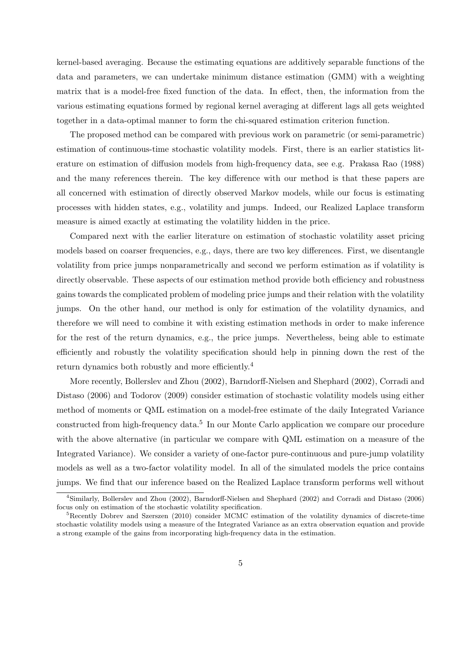kernel-based averaging. Because the estimating equations are additively separable functions of the data and parameters, we can undertake minimum distance estimation (GMM) with a weighting matrix that is a model-free fixed function of the data. In effect, then, the information from the various estimating equations formed by regional kernel averaging at different lags all gets weighted together in a data-optimal manner to form the chi-squared estimation criterion function.

The proposed method can be compared with previous work on parametric (or semi-parametric) estimation of continuous-time stochastic volatility models. First, there is an earlier statistics literature on estimation of diffusion models from high-frequency data, see e.g. Prakasa Rao (1988) and the many references therein. The key difference with our method is that these papers are all concerned with estimation of directly observed Markov models, while our focus is estimating processes with hidden states, e.g., volatility and jumps. Indeed, our Realized Laplace transform measure is aimed exactly at estimating the volatility hidden in the price.

Compared next with the earlier literature on estimation of stochastic volatility asset pricing models based on coarser frequencies, e.g., days, there are two key differences. First, we disentangle volatility from price jumps nonparametrically and second we perform estimation as if volatility is directly observable. These aspects of our estimation method provide both efficiency and robustness gains towards the complicated problem of modeling price jumps and their relation with the volatility jumps. On the other hand, our method is only for estimation of the volatility dynamics, and therefore we will need to combine it with existing estimation methods in order to make inference for the rest of the return dynamics, e.g., the price jumps. Nevertheless, being able to estimate efficiently and robustly the volatility specification should help in pinning down the rest of the return dynamics both robustly and more efficiently.<sup>4</sup>

More recently, Bollerslev and Zhou (2002), Barndorff-Nielsen and Shephard (2002), Corradi and Distaso (2006) and Todorov (2009) consider estimation of stochastic volatility models using either method of moments or QML estimation on a model-free estimate of the daily Integrated Variance constructed from high-frequency data.<sup>5</sup> In our Monte Carlo application we compare our procedure with the above alternative (in particular we compare with QML estimation on a measure of the Integrated Variance). We consider a variety of one-factor pure-continuous and pure-jump volatility models as well as a two-factor volatility model. In all of the simulated models the price contains jumps. We find that our inference based on the Realized Laplace transform performs well without

<sup>4</sup>Similarly, Bollerslev and Zhou (2002), Barndorff-Nielsen and Shephard (2002) and Corradi and Distaso (2006) focus only on estimation of the stochastic volatility specification.

<sup>5</sup>Recently Dobrev and Szerszen (2010) consider MCMC estimation of the volatility dynamics of discrete-time stochastic volatility models using a measure of the Integrated Variance as an extra observation equation and provide a strong example of the gains from incorporating high-frequency data in the estimation.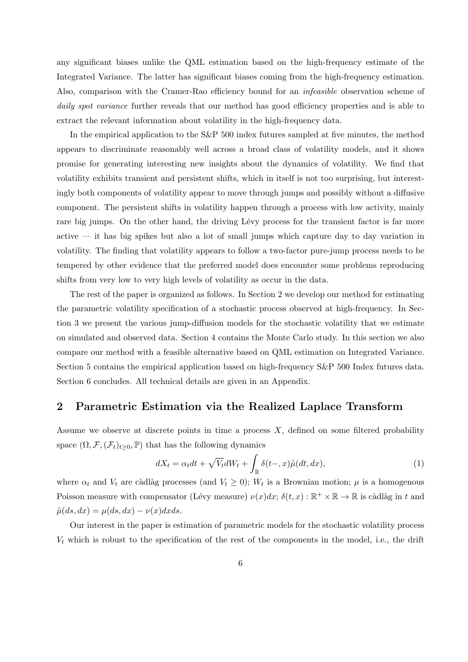any significant biases unlike the QML estimation based on the high-frequency estimate of the Integrated Variance. The latter has significant biases coming from the high-frequency estimation. Also, comparison with the Cramer-Rao efficiency bound for an *infeasible* observation scheme of *daily spot variance* further reveals that our method has good efficiency properties and is able to extract the relevant information about volatility in the high-frequency data.

In the empirical application to the S&P 500 index futures sampled at five minutes, the method appears to discriminate reasonably well across a broad class of volatility models, and it shows promise for generating interesting new insights about the dynamics of volatility. We find that volatility exhibits transient and persistent shifts, which in itself is not too surprising, but interestingly both components of volatility appear to move through jumps and possibly without a diffusive component. The persistent shifts in volatility happen through a process with low activity, mainly rare big jumps. On the other hand, the driving Lévy process for the transient factor is far more active  $-$  it has big spikes but also a lot of small jumps which capture day to day variation in volatility. The finding that volatility appears to follow a two-factor pure-jump process needs to be tempered by other evidence that the preferred model does encounter some problems reproducing shifts from very low to very high levels of volatility as occur in the data.

The rest of the paper is organized as follows. In Section 2 we develop our method for estimating the parametric volatility specification of a stochastic process observed at high-frequency. In Section 3 we present the various jump-diffusion models for the stochastic volatility that we estimate on simulated and observed data. Section 4 contains the Monte Carlo study. In this section we also compare our method with a feasible alternative based on QML estimation on Integrated Variance. Section 5 contains the empirical application based on high-frequency S&P 500 Index futures data. Section 6 concludes. All technical details are given in an Appendix.

### **2 Parametric Estimation via the Realized Laplace Transform**

Assume we observe at discrete points in time a process *X*, defined on some filtered probability space  $(\Omega, \mathcal{F}, (\mathcal{F}_t)_{t \geq 0}, \mathbb{P})$  that has the following dynamics

$$
dX_t = \alpha_t dt + \sqrt{V_t} dW_t + \int_{\mathbb{R}} \delta(t-, x) \tilde{\mu}(dt, dx), \qquad (1)
$$

where  $\alpha_t$  and  $V_t$  are càdlàg processes (and  $V_t \geq 0$ );  $W_t$  is a Brownian motion;  $\mu$  is a homogenous Poisson measure with compensator (Lévy measure)  $\nu(x)dx$ ;  $\delta(t, x): \mathbb{R}^+ \times \mathbb{R} \to \mathbb{R}$  is càdlàg in *t* and  $\tilde{\mu}(ds, dx) = \mu(ds, dx) - \nu(x)dxds.$ 

Our interest in the paper is estimation of parametric models for the stochastic volatility process *V<sup>t</sup>* which is robust to the specification of the rest of the components in the model, i.e., the drift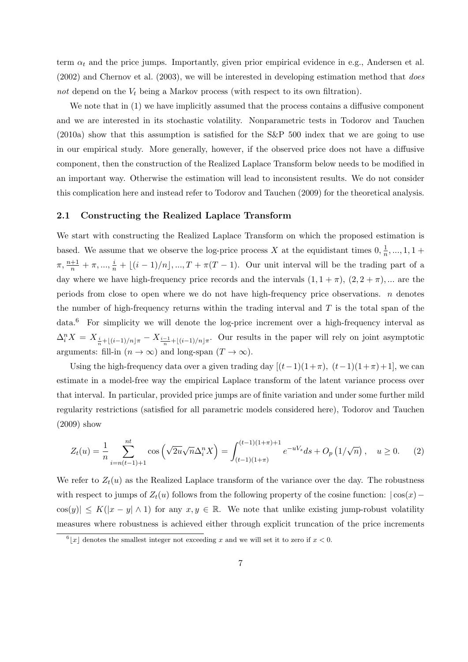term *α<sup>t</sup>* and the price jumps. Importantly, given prior empirical evidence in e.g., Andersen et al. (2002) and Chernov et al. (2003), we will be interested in developing estimation method that *does not* depend on the *V<sup>t</sup>* being a Markov process (with respect to its own filtration).

We note that in  $(1)$  we have implicitly assumed that the process contains a diffusive component and we are interested in its stochastic volatility. Nonparametric tests in Todorov and Tauchen (2010a) show that this assumption is satisfied for the S&P 500 index that we are going to use in our empirical study. More generally, however, if the observed price does not have a diffusive component, then the construction of the Realized Laplace Transform below needs to be modified in an important way. Otherwise the estimation will lead to inconsistent results. We do not consider this complication here and instead refer to Todorov and Tauchen (2009) for the theoretical analysis.

#### **2.1 Constructing the Realized Laplace Transform**

We start with constructing the Realized Laplace Transform on which the proposed estimation is based. We assume that we observe the log-price process X at the equidistant times  $0, \frac{1}{n}$  $\frac{1}{n}, ..., 1, 1 +$  $\pi, \frac{n+1}{n} + \pi, \ldots, \frac{i}{n} + \lfloor (i-1)/n \rfloor, \ldots, T + \pi(T-1)$ . Our unit interval will be the trading part of a day where we have high-frequency price records and the intervals  $(1, 1 + \pi)$ ,  $(2, 2 + \pi)$ , ... are the periods from close to open where we do not have high-frequency price observations. *n* denotes the number of high-frequency returns within the trading interval and *T* is the total span of the data.<sup>6</sup> For simplicity we will denote the log-price increment over a high-frequency interval as  $\Delta_i^n X = X_{\frac{i}{n} + \lfloor (i-1)/n \rfloor \pi} - X_{\frac{i-1}{n} + \lfloor (i-1)/n \rfloor \pi}$ . Our results in the paper will rely on joint asymptotic arguments: fill-in  $(n \to \infty)$  and long-span  $(T \to \infty)$ .

Using the high-frequency data over a given trading day  $[(t-1)(1+\pi), (t-1)(1+\pi)+1]$ , we can estimate in a model-free way the empirical Laplace transform of the latent variance process over that interval. In particular, provided price jumps are of finite variation and under some further mild regularity restrictions (satisfied for all parametric models considered here), Todorov and Tauchen (2009) show

$$
Z_t(u) = \frac{1}{n} \sum_{i=n(t-1)+1}^{nt} \cos\left(\sqrt{2u}\sqrt{n}\Delta_i^n X\right) = \int_{(t-1)(1+\pi)}^{(t-1)(1+\pi)+1} e^{-uV_s} ds + O_p\left(1/\sqrt{n}\right), \quad u \ge 0. \tag{2}
$$

We refer to  $Z_t(u)$  as the Realized Laplace transform of the variance over the day. The robustness with respect to jumps of  $Z_t(u)$  follows from the following property of the cosine function:  $|\cos(x) |\cos(y)| \le K(|x-y| \wedge 1)$  for any  $x, y \in \mathbb{R}$ . We note that unlike existing jump-robust volatility measures where robustness is achieved either through explicit truncation of the price increments

 $^{6}[x]$  denotes the smallest integer not exceeding *x* and we will set it to zero if  $x < 0$ .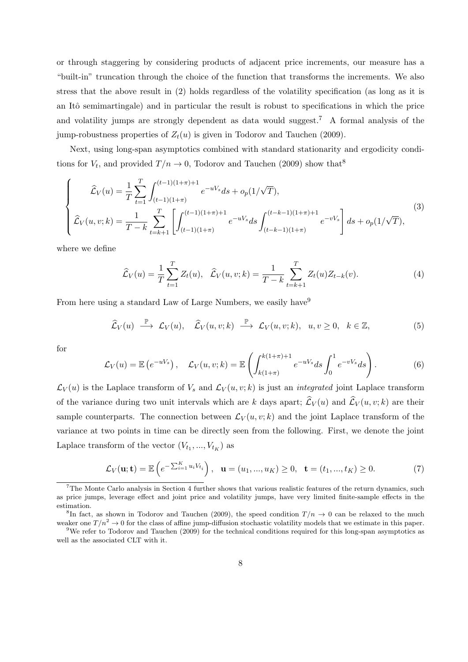or through staggering by considering products of adjacent price increments, our measure has a "built-in" truncation through the choice of the function that transforms the increments. We also stress that the above result in (2) holds regardless of the volatility specification (as long as it is an Itô semimartingale) and in particular the result is robust to specifications in which the price and volatility jumps are strongly dependent as data would suggest.<sup>7</sup> A formal analysis of the jump-robustness properties of  $Z_t(u)$  is given in Todorov and Tauchen (2009).

Next, using long-span asymptotics combined with standard stationarity and ergodicity conditions for  $V_t$ , and provided  $T/n \to 0$ , Todorov and Tauchen (2009) show that<sup>8</sup>

$$
\begin{cases}\n\widehat{\mathcal{L}}_V(u) = \frac{1}{T} \sum_{t=1}^T \int_{(t-1)(1+\pi)}^{(t-1)(1+\pi)+1} e^{-uV_s} ds + o_p(1/\sqrt{T}), \\
\widehat{\mathcal{L}}_V(u,v;k) = \frac{1}{T-k} \sum_{t=k+1}^T \left[ \int_{(t-1)(1+\pi)}^{(t-1)(1+\pi)+1} e^{-uV_s} ds \int_{(t-k-1)(1+\pi)}^{(t-k-1)(1+\pi)+1} e^{-vV_s} \right] ds + o_p(1/\sqrt{T}),\n\end{cases}
$$
\n(3)

where we define

$$
\widehat{\mathcal{L}}_V(u) = \frac{1}{T} \sum_{t=1}^T Z_t(u), \quad \widehat{\mathcal{L}}_V(u, v; k) = \frac{1}{T - k} \sum_{t=k+1}^T Z_t(u) Z_{t-k}(v).
$$
\n(4)

From here using a standard Law of Large Numbers, we easily have <sup>9</sup>

$$
\widehat{\mathcal{L}}_V(u) \stackrel{\mathbb{P}}{\longrightarrow} \mathcal{L}_V(u), \quad \widehat{\mathcal{L}}_V(u,v;k) \stackrel{\mathbb{P}}{\longrightarrow} \mathcal{L}_V(u,v;k), \quad u,v \ge 0, \quad k \in \mathbb{Z}, \tag{5}
$$

for

$$
\mathcal{L}_V(u) = \mathbb{E}\left(e^{-uV_s}\right), \quad \mathcal{L}_V(u,v;k) = \mathbb{E}\left(\int_{k(1+\pi)}^{k(1+\pi)+1} e^{-uV_s} ds \int_0^1 e^{-vV_s} ds\right). \tag{6}
$$

 $\mathcal{L}_V(u)$  is the Laplace transform of  $V_s$  and  $\mathcal{L}_V(u, v; k)$  is just an *integrated* joint Laplace transform of the variance during two unit intervals which are *k* days apart;  $\hat{\mathcal{L}}_V(u)$  and  $\hat{\mathcal{L}}_V(u, v; k)$  are their sample counterparts. The connection between  $\mathcal{L}_V(u, v; k)$  and the joint Laplace transform of the variance at two points in time can be directly seen from the following. First, we denote the joint Laplace transform of the vector  $(V_{t_1},...,V_{t_K})$  as

$$
\mathcal{L}_V(\mathbf{u}; \mathbf{t}) = \mathbb{E}\left(e^{-\sum_{i=1}^K u_i V_{t_i}}\right), \quad \mathbf{u} = (u_1, ..., u_K) \ge 0, \quad \mathbf{t} = (t_1, ..., t_K) \ge 0. \tag{7}
$$

<sup>7</sup>The Monte Carlo analysis in Section 4 further shows that various realistic features of the return dynamics, such as price jumps, leverage effect and joint price and volatility jumps, have very limited finite-sample effects in the estimation.

<sup>&</sup>lt;sup>8</sup>In fact, as shown in Todorov and Tauchen (2009), the speed condition  $T/n \to 0$  can be relaxed to the much weaker one  $T/n^2 \to 0$  for the class of affine jump-diffusion stochastic volatility models that we estimate in this paper.

<sup>9</sup>We refer to Todorov and Tauchen (2009) for the technical conditions required for this long-span asymptotics as well as the associated CLT with it.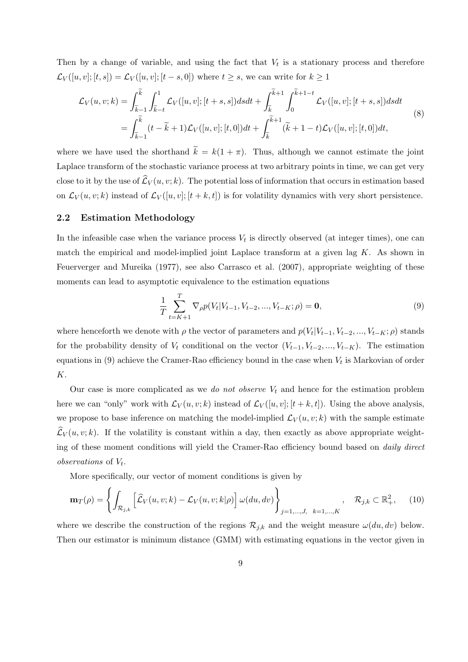Then by a change of variable, and using the fact that  $V_t$  is a stationary process and therefore  $\mathcal{L}_V([u, v]; [t, s]) = \mathcal{L}_V([u, v]; [t - s, 0])$  where  $t \geq s$ , we can write for  $k \geq 1$ 

$$
\mathcal{L}_V(u,v;k) = \int_{\widetilde{k}-1}^{\widetilde{k}} \int_{\widetilde{k}-t}^1 \mathcal{L}_V([u,v];[t+s,s])dsdt + \int_{\widetilde{k}}^{\widetilde{k}+1} \int_0^{\widetilde{k}+1-t} \mathcal{L}_V([u,v];[t+s,s])dsdt
$$
\n
$$
= \int_{\widetilde{k}-1}^{\widetilde{k}} (t-\widetilde{k}+1)\mathcal{L}_V([u,v];[t,0])dt + \int_{\widetilde{k}}^{\widetilde{k}+1} (\widetilde{k}+1-t)\mathcal{L}_V([u,v];[t,0])dt,
$$
\n(8)

where we have used the shorthand  $\widetilde{k} = k(1 + \pi)$ . Thus, although we cannot estimate the joint Laplace transform of the stochastic variance process at two arbitrary points in time, we can get very close to it by the use of  $\mathcal{L}_V(u, v; k)$ . The potential loss of information that occurs in estimation based on  $\mathcal{L}_V(u, v; k)$  instead of  $\mathcal{L}_V([u, v]; [t + k, t])$  is for volatility dynamics with very short persistence.

### **2.2 Estimation Methodology**

In the infeasible case when the variance process  $V_t$  is directly observed (at integer times), one can match the empirical and model-implied joint Laplace transform at a given lag *K*. As shown in Feuerverger and Mureika (1977), see also Carrasco et al. (2007), appropriate weighting of these moments can lead to asymptotic equivalence to the estimation equations

$$
\frac{1}{T} \sum_{t=K+1}^{T} \nabla_{\rho} p(V_t | V_{t-1}, V_{t-2}, ..., V_{t-K}; \rho) = \mathbf{0},
$$
\n(9)

where henceforth we denote with  $\rho$  the vector of parameters and  $p(V_t|V_{t-1}, V_{t-2}, ..., V_{t-K}; \rho)$  stands for the probability density of  $V_t$  conditional on the vector  $(V_{t-1}, V_{t-2}, ..., V_{t-K})$ . The estimation equations in (9) achieve the Cramer-Rao efficiency bound in the case when *V<sup>t</sup>* is Markovian of order *K*.

Our case is more complicated as we *do not observe*  $V_t$  and hence for the estimation problem here we can "only" work with  $\mathcal{L}_V(u, v; k)$  instead of  $\mathcal{L}_V([u, v]; [t + k, t])$ . Using the above analysis, we propose to base inference on matching the model-implied  $\mathcal{L}_V(u, v; k)$  with the sample estimate  $\mathcal{L}_V(u, v; k)$ . If the volatility is constant within a day, then exactly as above appropriate weighting of these moment conditions will yield the Cramer-Rao efficiency bound based on *daily direct observations* of *V<sup>t</sup>* .

More specifically, our vector of moment conditions is given by

$$
\mathbf{m}_{T}(\rho) = \left\{ \int_{\mathcal{R}_{j,k}} \left[ \widehat{\mathcal{L}}_{V}(u,v;k) - \mathcal{L}_{V}(u,v;k|\rho) \right] \omega(du,dv) \right\}_{j=1,\ldots,J, k=1,\ldots,K}, \quad \mathcal{R}_{j,k} \subset \mathbb{R}^{2}_{+}, \quad (10)
$$

where we describe the construction of the regions  $\mathcal{R}_{j,k}$  and the weight measure  $\omega(du, dv)$  below. Then our estimator is minimum distance (GMM) with estimating equations in the vector given in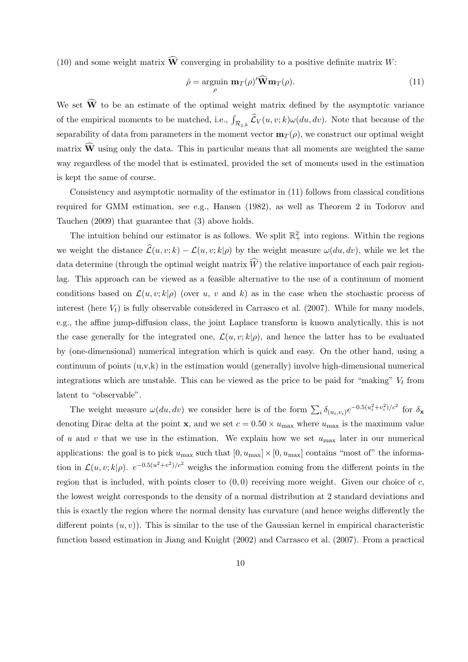(10) and some weight matrix  $\widehat{W}$  converging in probability to a positive definite matrix *W*:

$$
\hat{\rho} = \underset{\rho}{\text{argmin}} \ \mathbf{m}_T(\rho)' \widehat{\mathbf{W}} \mathbf{m}_T(\rho). \tag{11}
$$

We set  $\widehat{W}$  to be an estimate of the optimal weight matrix defined by the asymptotic variance of the empirical moments to be matched, i.e.,  $\int_{\mathcal{R}_{j,k}} \mathcal{L}_V(u, v; k) \omega(du, dv)$ . Note that because of the separability of data from parameters in the moment vector  $\mathbf{m}_T(\rho)$ , we construct our optimal weight matrix  $\widehat{W}$  using only the data. This in particular means that all moments are weighted the same way regardless of the model that is estimated, provided the set of moments used in the estimation is kept the same of course.

Consistency and asymptotic normality of the estimator in (11) follows from classical conditions required for GMM estimation, see e.g., Hansen (1982), as well as Theorem 2 in Todorov and Tauchen (2009) that guarantee that (3) above holds.

The intuition behind our estimator is as follows. We split  $\mathbb{R}^2_+$  into regions. Within the regions we weight the distance  $\hat{\mathcal{L}}(u, v; k) - \mathcal{L}(u, v; k|\rho)$  by the weight measure  $\omega(du, dv)$ , while we let the data determine (through the optimal weight matrix  $\widehat{W}$ ) the relative importance of each pair regionlag. This approach can be viewed as a feasible alternative to the use of a continuum of moment conditions based on  $\mathcal{L}(u, v; k|\rho)$  (over *u*, *v* and *k*) as in the case when the stochastic process of interest (here  $V_t$ ) is fully observable considered in Carrasco et al. (2007). While for many models, e.g., the affine jump-diffusion class, the joint Laplace transform is known analytically, this is not the case generally for the integrated one,  $\mathcal{L}(u, v; k|\rho)$ , and hence the latter has to be evaluated by (one-dimensional) numerical integration which is quick and easy. On the other hand, using a continuum of points  $(u,v,k)$  in the estimation would (generally) involve high-dimensional numerical integrations which are unstable. This can be viewed as the price to be paid for "making" *V<sup>t</sup>* from latent to "observable".

The weight measure  $\omega(du, dv)$  we consider here is of the form  $\sum_i \delta_{(u_i, v_i)} e^{-0.5(u_i^2 + v_i^2)/c^2}$  for  $\delta_{\mathbf{x}}$ denoting Dirac delta at the point **x**, and we set  $c = 0.50 \times u_{\text{max}}$  where  $u_{\text{max}}$  is the maximum value of  $u$  and  $v$  that we use in the estimation. We explain how we set  $u_{\text{max}}$  later in our numerical applications: the goal is to pick  $u_{\text{max}}$  such that  $[0, u_{\text{max}}] \times [0, u_{\text{max}}]$  contains "most of" the information in  $\mathcal{L}(u, v; k|\rho)$ .  $e^{-0.5(u^2+v^2)/c^2}$  weighs the information coming from the different points in the region that is included, with points closer to (0*,* 0) receiving more weight. Given our choice of *c*, the lowest weight corresponds to the density of a normal distribution at 2 standard deviations and this is exactly the region where the normal density has curvature (and hence weighs differently the different points  $(u, v)$ ). This is similar to the use of the Gaussian kernel in empirical characteristic function based estimation in Jiang and Knight (2002) and Carrasco et al. (2007). From a practical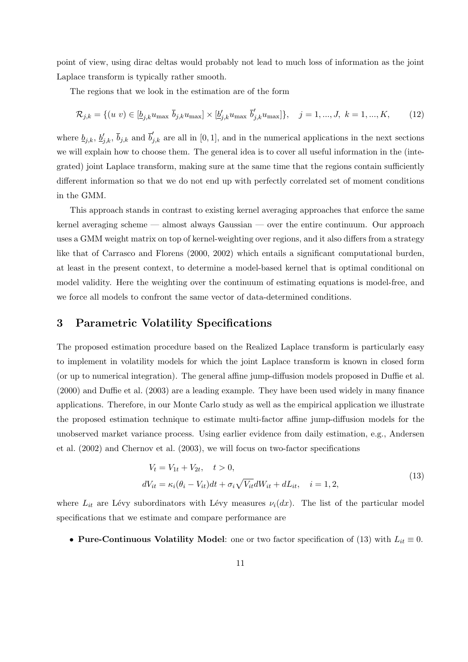point of view, using dirac deltas would probably not lead to much loss of information as the joint Laplace transform is typically rather smooth.

The regions that we look in the estimation are of the form

$$
\mathcal{R}_{j,k} = \{ (u \ v) \in [\underline{b}_{j,k} u_{\max} \ \overline{b}_{j,k} u_{\max}] \times [\underline{b}'_{j,k} u_{\max} \ \overline{b}'_{j,k} u_{\max}] \}, \quad j = 1, ..., J, \ k = 1, ..., K,
$$
 (12)

where  $\underline{b}_{j,k}$ ,  $\underline{b}'_{j,k}$ ,  $\overline{b}_{j,k}$  and  $\overline{b}'_{j,k}$  are all in [0, 1], and in the numerical applications in the next sections we will explain how to choose them. The general idea is to cover all useful information in the (integrated) joint Laplace transform, making sure at the same time that the regions contain sufficiently different information so that we do not end up with perfectly correlated set of moment conditions in the GMM.

This approach stands in contrast to existing kernel averaging approaches that enforce the same kernel averaging scheme — almost always Gaussian — over the entire continuum. Our approach uses a GMM weight matrix on top of kernel-weighting over regions, and it also differs from a strategy like that of Carrasco and Florens (2000, 2002) which entails a significant computational burden, at least in the present context, to determine a model-based kernel that is optimal conditional on model validity. Here the weighting over the continuum of estimating equations is model-free, and we force all models to confront the same vector of data-determined conditions.

# **3 Parametric Volatility Specifications**

The proposed estimation procedure based on the Realized Laplace transform is particularly easy to implement in volatility models for which the joint Laplace transform is known in closed form (or up to numerical integration). The general affine jump-diffusion models proposed in Duffie et al. (2000) and Duffie et al. (2003) are a leading example. They have been used widely in many finance applications. Therefore, in our Monte Carlo study as well as the empirical application we illustrate the proposed estimation technique to estimate multi-factor affine jump-diffusion models for the unobserved market variance process. Using earlier evidence from daily estimation, e.g., Andersen et al. (2002) and Chernov et al. (2003), we will focus on two-factor specifications

$$
V_t = V_{1t} + V_{2t}, \quad t > 0,
$$
  
\n
$$
dV_{it} = \kappa_i(\theta_i - V_{it})dt + \sigma_i \sqrt{V_{it}}dW_{it} + dL_{it}, \quad i = 1, 2,
$$
\n(13)

where  $L_{it}$  are Lévy subordinators with Lévy measures  $\nu_i(dx)$ . The list of the particular model specifications that we estimate and compare performance are

• **Pure-Continuous Volatility Model**: one or two factor specification of (13) with  $L_{it} \equiv 0$ .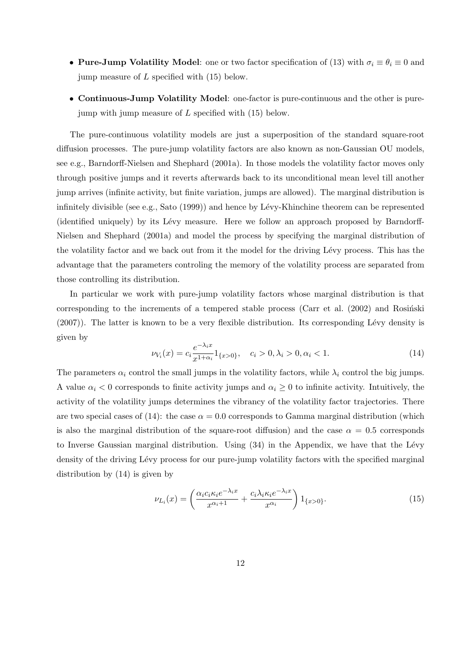- **Pure-Jump Volatility Model**: one or two factor specification of (13) with  $\sigma_i \equiv \theta_i \equiv 0$  and jump measure of *L* specified with (15) below.
- *•* **Continuous-Jump Volatility Model**: one-factor is pure-continuous and the other is purejump with jump measure of *L* specified with (15) below.

The pure-continuous volatility models are just a superposition of the standard square-root diffusion processes. The pure-jump volatility factors are also known as non-Gaussian OU models, see e.g., Barndorff-Nielsen and Shephard (2001a). In those models the volatility factor moves only through positive jumps and it reverts afterwards back to its unconditional mean level till another jump arrives (infinite activity, but finite variation, jumps are allowed). The marginal distribution is infinitely divisible (see e.g., Sato  $(1999)$ ) and hence by Lévy-Khinchine theorem can be represented (identified uniquely) by its Lévy measure. Here we follow an approach proposed by Barndorff-Nielsen and Shephard (2001a) and model the process by specifying the marginal distribution of the volatility factor and we back out from it the model for the driving Lévy process. This has the advantage that the parameters controling the memory of the volatility process are separated from those controlling its distribution.

In particular we work with pure-jump volatility factors whose marginal distribution is that corresponding to the increments of a tempered stable process (Carr et al.  $(2002)$ ) and Rosinski  $(2007)$ . The latter is known to be a very flexible distribution. Its corresponding Lévy density is given by

$$
\nu_{V_i}(x) = c_i \frac{e^{-\lambda_i x}}{x^{1+\alpha_i}} 1_{\{x>0\}}, \quad c_i > 0, \lambda_i > 0, \alpha_i < 1.
$$
\n(14)

The parameters  $\alpha_i$  control the small jumps in the volatility factors, while  $\lambda_i$  control the big jumps. A value  $\alpha_i < 0$  corresponds to finite activity jumps and  $\alpha_i \geq 0$  to infinite activity. Intuitively, the activity of the volatility jumps determines the vibrancy of the volatility factor trajectories. There are two special cases of (14): the case  $\alpha = 0.0$  corresponds to Gamma marginal distribution (which is also the marginal distribution of the square-root diffusion) and the case  $\alpha = 0.5$  corresponds to Inverse Gaussian marginal distribution. Using  $(34)$  in the Appendix, we have that the Lévy density of the driving Lévy process for our pure-jump volatility factors with the specified marginal distribution by (14) is given by

$$
\nu_{L_i}(x) = \left(\frac{\alpha_i c_i \kappa_i e^{-\lambda_i x}}{x^{\alpha_i+1}} + \frac{c_i \lambda_i \kappa_i e^{-\lambda_i x}}{x^{\alpha_i}}\right) 1_{\{x>0\}}.\tag{15}
$$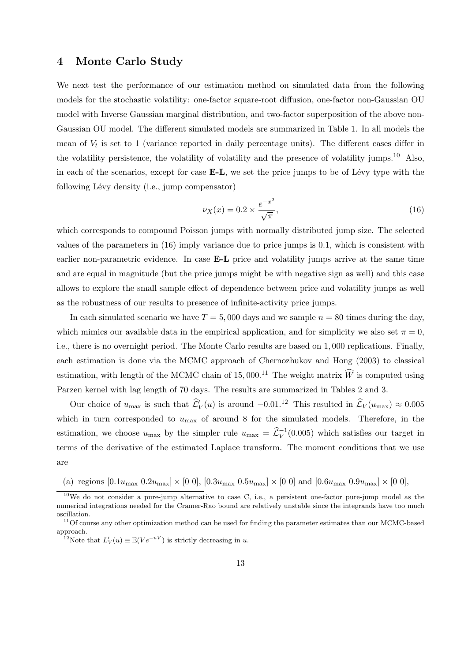### **4 Monte Carlo Study**

We next test the performance of our estimation method on simulated data from the following models for the stochastic volatility: one-factor square-root diffusion, one-factor non-Gaussian OU model with Inverse Gaussian marginal distribution, and two-factor superposition of the above non-Gaussian OU model. The different simulated models are summarized in Table 1. In all models the mean of  $V_t$  is set to 1 (variance reported in daily percentage units). The different cases differ in the volatility persistence, the volatility of volatility and the presence of volatility jumps.<sup>10</sup> Also, in each of the scenarios, except for case **E-L**, we set the price jumps to be of Lévy type with the following Lévy density (i.e., jump compensator)

$$
\nu_X(x) = 0.2 \times \frac{e^{-x^2}}{\sqrt{\pi}},\tag{16}
$$

which corresponds to compound Poisson jumps with normally distributed jump size. The selected values of the parameters in (16) imply variance due to price jumps is 0*.*1, which is consistent with earlier non-parametric evidence. In case **E-L** price and volatility jumps arrive at the same time and are equal in magnitude (but the price jumps might be with negative sign as well) and this case allows to explore the small sample effect of dependence between price and volatility jumps as well as the robustness of our results to presence of infinite-activity price jumps.

In each simulated scenario we have  $T = 5,000$  days and we sample  $n = 80$  times during the day, which mimics our available data in the empirical application, and for simplicity we also set  $\pi = 0$ , i.e., there is no overnight period. The Monte Carlo results are based on 1*,* 000 replications. Finally, each estimation is done via the MCMC approach of Chernozhukov and Hong (2003) to classical estimation, with length of the MCMC chain of 15,000.<sup>11</sup> The weight matrix  $\widehat{W}$  is computed using Parzen kernel with lag length of 70 days. The results are summarized in Tables 2 and 3.

Our choice of  $u_{\text{max}}$  is such that  $\hat{\mathcal{L}}_V(u)$  is around  $-0.01^{12}$  This resulted in  $\hat{\mathcal{L}}_V(u_{\text{max}}) \approx 0.005$ which in turn corresponded to  $u_{\text{max}}$  of around 8 for the simulated models. Therefore, in the estimation, we choose  $u_{\text{max}}$  by the simpler rule  $u_{\text{max}} = \hat{\mathcal{L}}_V^{-1}(0.005)$  which satisfies our target in terms of the derivative of the estimated Laplace transform. The moment conditions that we use are

(a) regions  $[0.1u_{\text{max}} \ 0.2u_{\text{max}}] \times [0 \ 0], \ [0.3u_{\text{max}} \ 0.5u_{\text{max}}] \times [0 \ 0]$  and  $[0.6u_{\text{max}} \ 0.9u_{\text{max}}] \times [0 \ 0],$ 

 $10$ We do not consider a pure-jump alternative to case C, i.e., a persistent one-factor pure-jump model as the numerical integrations needed for the Cramer-Rao bound are relatively unstable since the integrands have too much oscillation.

<sup>&</sup>lt;sup>11</sup>Of course any other optimization method can be used for finding the parameter estimates than our MCMC-based approach.

<sup>&</sup>lt;sup>12</sup>Note that  $L'_V(u) \equiv \mathbb{E}(Ve^{-uV})$  is strictly decreasing in *u*.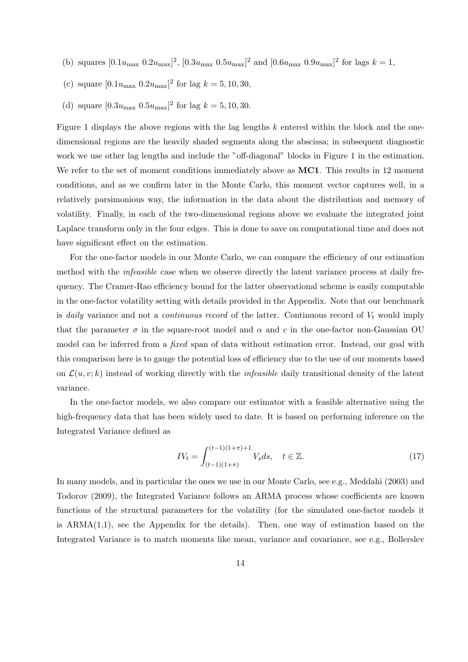- (b) squares  $[0.1u_{\text{max}} \ 0.2u_{\text{max}}]^2$ ,  $[0.3u_{\text{max}} \ 0.5u_{\text{max}}]^2$  and  $[0.6u_{\text{max}} \ 0.9u_{\text{max}}]^2$  for lags  $k = 1$ ,
- (c) square  $[0.1u_{\text{max}} \ 0.2u_{\text{max}}]^2$  for lag  $k = 5, 10, 30$ ,
- (d) square  $[0.3u_{\text{max}} \ 0.5u_{\text{max}}]^2$  for lag  $k = 5, 10, 30$ .

Figure 1 displays the above regions with the lag lengths *k* entered within the block and the onedimensional regions are the heavily shaded segments along the abscissa; in subsequent diagnostic work we use other lag lengths and include the "off-diagonal" blocks in Figure 1 in the estimation. We refer to the set of moment conditions immediately above as **MC1**. This results in 12 moment conditions, and as we confirm later in the Monte Carlo, this moment vector captures well, in a relatively parsimonious way, the information in the data about the distribution and memory of volatility. Finally, in each of the two-dimensional regions above we evaluate the integrated joint Laplace transform only in the four edges. This is done to save on computational time and does not have significant effect on the estimation.

For the one-factor models in our Monte Carlo, we can compare the efficiency of our estimation method with the *infeasible* case when we observe directly the latent variance process at daily frequency. The Cramer-Rao efficiency bound for the latter observational scheme is easily computable in the one-factor volatility setting with details provided in the Appendix. Note that our benchmark is *daily* variance and not a *continuous record* of the latter. Continuous record of *V<sup>t</sup>* would imply that the parameter  $\sigma$  in the square-root model and  $\alpha$  and  $c$  in the one-factor non-Gaussian OU model can be inferred from a *fixed* span of data without estimation error. Instead, our goal with this comparison here is to gauge the potential loss of efficiency due to the use of our moments based on  $\mathcal{L}(u, v; k)$  instead of working directly with the *infeasible* daily transitional density of the latent variance.

In the one-factor models, we also compare our estimator with a feasible alternative using the high-frequency data that has been widely used to date. It is based on performing inference on the Integrated Variance defined as

$$
IV_t = \int_{(t-1)(1+\pi)}^{(t-1)(1+\pi)+1} V_s ds, \quad t \in \mathbb{Z}.
$$
 (17)

In many models, and in particular the ones we use in our Monte Carlo, see e.g., Meddahi (2003) and Todorov (2009), the Integrated Variance follows an ARMA process whose coefficients are known functions of the structural parameters for the volatility (for the simulated one-factor models it is ARMA(1,1), see the Appendix for the details). Then, one way of estimation based on the Integrated Variance is to match moments like mean, variance and covariance, see e.g., Bollerslev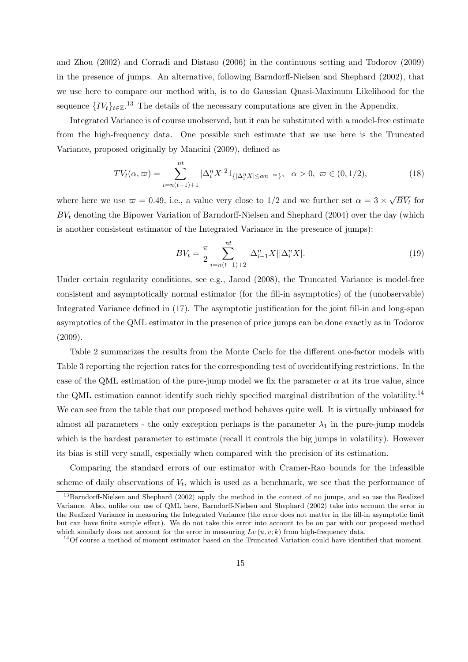and Zhou (2002) and Corradi and Distaso (2006) in the continuous setting and Todorov (2009) in the presence of jumps. An alternative, following Barndorff-Nielsen and Shephard (2002), that we use here to compare our method with, is to do Gaussian Quasi-Maximum Likelihood for the sequence  $\{IV_t\}_{t\in\mathbb{Z}}$ .<sup>13</sup> The details of the necessary computations are given in the Appendix.

Integrated Variance is of course unobserved, but it can be substituted with a model-free estimate from the high-frequency data. One possible such estimate that we use here is the Truncated Variance, proposed originally by Mancini (2009), defined as

$$
TV_t(\alpha, \varpi) = \sum_{i=n(t-1)+1}^{nt} |\Delta_i^n X|^2 1_{\{|\Delta_i^n X| \le \alpha n^{-\varpi}\}}, \quad \alpha > 0, \quad \varpi \in (0, 1/2),
$$
 (18)

where here we use  $\varpi = 0.49$ , i.e., a value very close to 1/2 and we further set  $\alpha = 3 \times$ *√*  $\overline{BV_t}$  for *BV<sup>t</sup>* denoting the Bipower Variation of Barndorff-Nielsen and Shephard (2004) over the day (which is another consistent estimator of the Integrated Variance in the presence of jumps):

$$
BV_t = \frac{\pi}{2} \sum_{i=n(t-1)+2}^{nt} |\Delta_{i-1}^n X| |\Delta_i^n X|.
$$
\n(19)

Under certain regularity conditions, see e.g., Jacod (2008), the Truncated Variance is model-free consistent and asymptotically normal estimator (for the fill-in asymptotics) of the (unobservable) Integrated Variance defined in (17). The asymptotic justification for the joint fill-in and long-span asymptotics of the QML estimator in the presence of price jumps can be done exactly as in Todorov (2009).

Table 2 summarizes the results from the Monte Carlo for the different one-factor models with Table 3 reporting the rejection rates for the corresponding test of overidentifying restrictions. In the case of the QML estimation of the pure-jump model we fix the parameter  $\alpha$  at its true value, since the QML estimation cannot identify such richly specified marginal distribution of the volatility.<sup>14</sup> We can see from the table that our proposed method behaves quite well. It is virtually unbiased for almost all parameters - the only exception perhaps is the parameter  $\lambda_1$  in the pure-jump models which is the hardest parameter to estimate (recall it controls the big jumps in volatility). However its bias is still very small, especially when compared with the precision of its estimation.

Comparing the standard errors of our estimator with Cramer-Rao bounds for the infeasible scheme of daily observations of  $V_t$ , which is used as a benchmark, we see that the performance of

<sup>13</sup>Barndorff-Nielsen and Shephard (2002) apply the method in the context of no jumps, and so use the Realized Variance. Also, unlike our use of QML here, Barndorff-Nielsen and Shephard (2002) take into account the error in the Realized Variance in measuring the Integrated Variance (the error does not matter in the fill-in asymptotic limit but can have finite sample effect). We do not take this error into account to be on par with our proposed method which similarly does not account for the error in measuring  $L_V(u, v; k)$  from high-frequency data.

<sup>&</sup>lt;sup>14</sup>Of course a method of moment estimator based on the Truncated Variation could have identified that moment.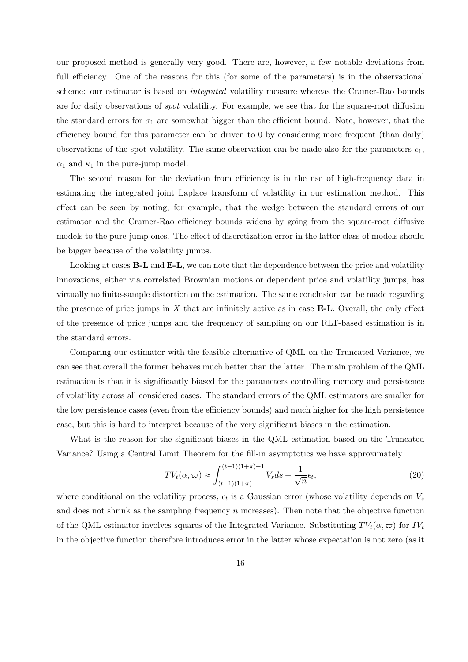our proposed method is generally very good. There are, however, a few notable deviations from full efficiency. One of the reasons for this (for some of the parameters) is in the observational scheme: our estimator is based on *integrated* volatility measure whereas the Cramer-Rao bounds are for daily observations of *spot* volatility. For example, we see that for the square-root diffusion the standard errors for  $\sigma_1$  are somewhat bigger than the efficient bound. Note, however, that the efficiency bound for this parameter can be driven to 0 by considering more frequent (than daily) observations of the spot volatility. The same observation can be made also for the parameters  $c_1$ ,  $\alpha_1$  and  $\kappa_1$  in the pure-jump model.

The second reason for the deviation from efficiency is in the use of high-frequency data in estimating the integrated joint Laplace transform of volatility in our estimation method. This effect can be seen by noting, for example, that the wedge between the standard errors of our estimator and the Cramer-Rao efficiency bounds widens by going from the square-root diffusive models to the pure-jump ones. The effect of discretization error in the latter class of models should be bigger because of the volatility jumps.

Looking at cases **B-L** and **E-L**, we can note that the dependence between the price and volatility innovations, either via correlated Brownian motions or dependent price and volatility jumps, has virtually no finite-sample distortion on the estimation. The same conclusion can be made regarding the presence of price jumps in *X* that are infinitely active as in case **E-L**. Overall, the only effect of the presence of price jumps and the frequency of sampling on our RLT-based estimation is in the standard errors.

Comparing our estimator with the feasible alternative of QML on the Truncated Variance, we can see that overall the former behaves much better than the latter. The main problem of the QML estimation is that it is significantly biased for the parameters controlling memory and persistence of volatility across all considered cases. The standard errors of the QML estimators are smaller for the low persistence cases (even from the efficiency bounds) and much higher for the high persistence case, but this is hard to interpret because of the very significant biases in the estimation.

What is the reason for the significant biases in the QML estimation based on the Truncated Variance? Using a Central Limit Theorem for the fill-in asymptotics we have approximately

$$
TV_t(\alpha, \varpi) \approx \int_{(t-1)(1+\pi)}^{(t-1)(1+\pi)+1} V_s ds + \frac{1}{\sqrt{n}} \epsilon_t,
$$
\n(20)

where conditional on the volatility process,  $\epsilon_t$  is a Gaussian error (whose volatility depends on  $V_s$ and does not shrink as the sampling frequency *n* increases). Then note that the objective function of the QML estimator involves squares of the Integrated Variance. Substituting  $TV_t(\alpha, \varpi)$  for  $IV_t$ in the objective function therefore introduces error in the latter whose expectation is not zero (as it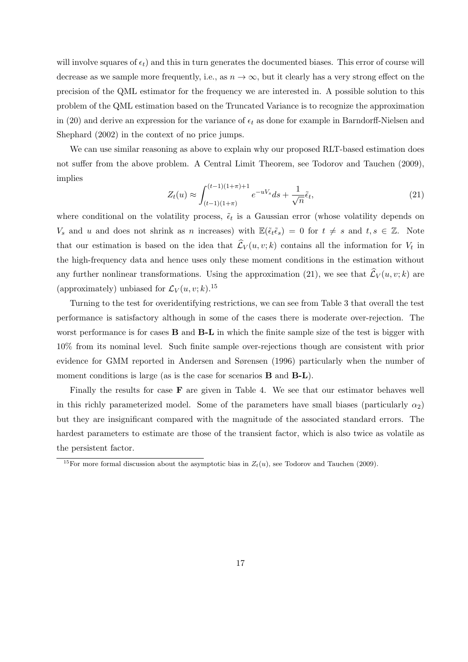will involve squares of  $\epsilon_t$ ) and this in turn generates the documented biases. This error of course will decrease as we sample more frequently, i.e., as  $n \to \infty$ , but it clearly has a very strong effect on the precision of the QML estimator for the frequency we are interested in. A possible solution to this problem of the QML estimation based on the Truncated Variance is to recognize the approximation in (20) and derive an expression for the variance of  $\epsilon_t$  as done for example in Barndorff-Nielsen and Shephard (2002) in the context of no price jumps.

We can use similar reasoning as above to explain why our proposed RLT-based estimation does not suffer from the above problem. A Central Limit Theorem, see Todorov and Tauchen (2009), implies

$$
Z_t(u) \approx \int_{(t-1)(1+\pi)}^{(t-1)(1+\pi)+1} e^{-uV_s} ds + \frac{1}{\sqrt{n}} \tilde{\epsilon}_t,
$$
\n(21)

where conditional on the volatility process,  $\tilde{\epsilon}_t$  is a Gaussian error (whose volatility depends on *V<sub>s</sub>* and *u* and does not shrink as *n* increases) with  $\mathbb{E}(\tilde{\epsilon}_t \tilde{\epsilon}_s) = 0$  for  $t \neq s$  and  $t, s \in \mathbb{Z}$ . Note that our estimation is based on the idea that  $\mathcal{L}_V(u, v; k)$  contains all the information for  $V_t$  in the high-frequency data and hence uses only these moment conditions in the estimation without any further nonlinear transformations. Using the approximation (21), we see that  $\hat{\mathcal{L}}_V(u, v; k)$  are (approximately) unbiased for  $\mathcal{L}_V(u, v; k)$ .<sup>15</sup>

Turning to the test for overidentifying restrictions, we can see from Table 3 that overall the test performance is satisfactory although in some of the cases there is moderate over-rejection. The worst performance is for cases **B** and **B-L** in which the finite sample size of the test is bigger with 10% from its nominal level. Such finite sample over-rejections though are consistent with prior evidence for GMM reported in Andersen and Sørensen (1996) particularly when the number of moment conditions is large (as is the case for scenarios **B** and **B-L**).

Finally the results for case **F** are given in Table 4. We see that our estimator behaves well in this richly parameterized model. Some of the parameters have small biases (particularly  $\alpha_2$ ) but they are insignificant compared with the magnitude of the associated standard errors. The hardest parameters to estimate are those of the transient factor, which is also twice as volatile as the persistent factor.

<sup>&</sup>lt;sup>15</sup>For more formal discussion about the asymptotic bias in  $Z_t(u)$ , see Todorov and Tauchen (2009).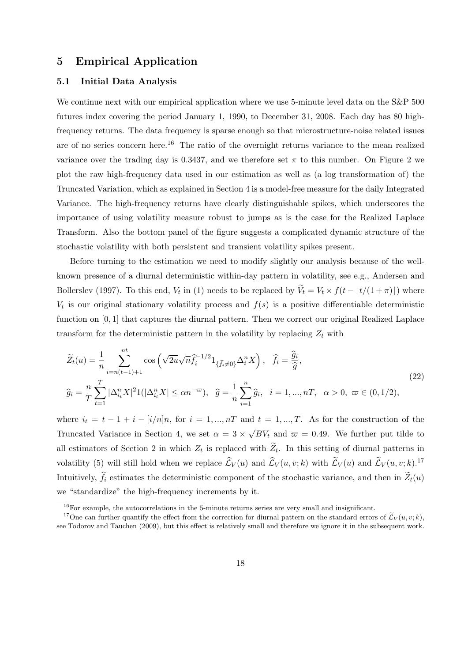# **5 Empirical Application**

### **5.1 Initial Data Analysis**

We continue next with our empirical application where we use 5-minute level data on the S&P 500 futures index covering the period January 1, 1990, to December 31, 2008. Each day has 80 highfrequency returns. The data frequency is sparse enough so that microstructure-noise related issues are of no series concern here.<sup>16</sup> The ratio of the overnight returns variance to the mean realized variance over the trading day is 0.3437, and we therefore set  $\pi$  to this number. On Figure 2 we plot the raw high-frequency data used in our estimation as well as (a log transformation of) the Truncated Variation, which as explained in Section 4 is a model-free measure for the daily Integrated Variance. The high-frequency returns have clearly distinguishable spikes, which underscores the importance of using volatility measure robust to jumps as is the case for the Realized Laplace Transform. Also the bottom panel of the figure suggests a complicated dynamic structure of the stochastic volatility with both persistent and transient volatility spikes present.

Before turning to the estimation we need to modify slightly our analysis because of the wellknown presence of a diurnal deterministic within-day pattern in volatility, see e.g., Andersen and Bollerslev (1997). To this end,  $V_t$  in (1) needs to be replaced by  $V_t = V_t \times f(t - \lfloor t/(1 + \pi) \rfloor)$  where  $V_t$  is our original stationary volatility process and  $f(s)$  is a positive differentiable deterministic function on [0*,* 1] that captures the diurnal pattern. Then we correct our original Realized Laplace transform for the deterministic pattern in the volatility by replacing  $Z_t$  with

$$
\widetilde{Z}_t(u) = \frac{1}{n} \sum_{i=n(t-1)+1}^{nt} \cos\left(\sqrt{2u}\sqrt{n}\hat{f}_i^{-1/2}1_{\{\hat{f}_i\neq 0\}}\Delta_i^n X\right), \quad \widehat{f}_i = \frac{\widehat{g}_i}{\widehat{g}},
$$
\n
$$
\widehat{g}_i = \frac{n}{T} \sum_{t=1}^T |\Delta_{i_t}^n X|^2 1(|\Delta_{i_t}^n X| \le \alpha n^{-\varpi}), \quad \widehat{g} = \frac{1}{n} \sum_{i=1}^n \widehat{g}_i, \quad i = 1, ..., nT, \quad \alpha > 0, \quad \varpi \in (0, 1/2),
$$
\n(22)

where  $i_t = t - 1 + i - [i/n]n$ , for  $i = 1, ..., nT$  and  $t = 1, ..., T$ . As for the construction of the Truncated Variance in Section 4, we set *α* = 3 *× √*  $BV_t$  and  $\varpi = 0.49$ . We further put tilde to all estimators of Section 2 in which  $Z_t$  is replaced with  $Z_t$ . In this setting of diurnal patterns in volatility (5) will still hold when we replace  $\hat{\mathcal{L}}_V(u)$  and  $\hat{\mathcal{L}}_V(u, v; k)$  with  $\tilde{\mathcal{L}}_V(u)$  and  $\tilde{\mathcal{L}}_V(u, v; k)$ .<sup>17</sup> Intuitively,  $\hat{f}_i$  estimates the deterministic component of the stochastic variance, and then in  $\tilde{Z}_t(u)$ we "standardize" the high-frequency increments by it.

 $16$ For example, the autocorrelations in the 5-minute returns series are very small and insignificant.

<sup>&</sup>lt;sup>17</sup>One can further quantify the effect from the correction for diurnal pattern on the standard errors of  $\tilde{\mathcal{L}}_V(u, v; k)$ , see Todorov and Tauchen (2009), but this effect is relatively small and therefore we ignore it in the subsequent work.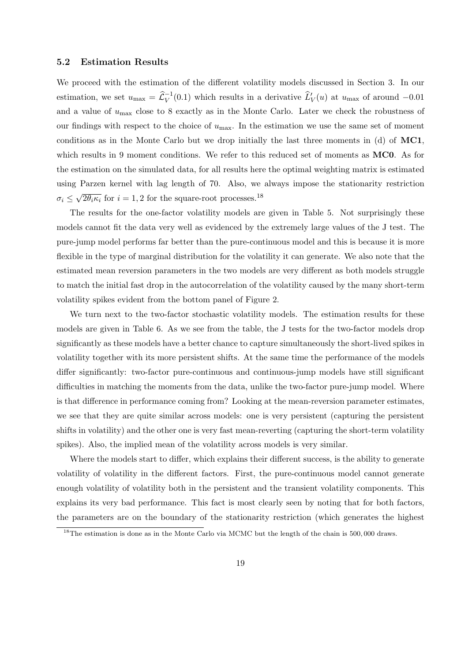#### **5.2 Estimation Results**

We proceed with the estimation of the different volatility models discussed in Section 3. In our estimation, we set  $u_{\text{max}} = \hat{\mathcal{L}}_V^{-1}(0.1)$  which results in a derivative  $\hat{L}'_V(u)$  at  $u_{\text{max}}$  of around  $-0.01$ and a value of *u*max close to 8 exactly as in the Monte Carlo. Later we check the robustness of our findings with respect to the choice of *u*max. In the estimation we use the same set of moment conditions as in the Monte Carlo but we drop initially the last three moments in (d) of **MC1**, which results in 9 moment conditions. We refer to this reduced set of moments as **MC0**. As for the estimation on the simulated data, for all results here the optimal weighting matrix is estimated using Parzen kernel with lag length of 70. Also, we always impose the stationarity restriction *σ<sup>i</sup> ≤*  $\sqrt{2\theta_i\kappa_i}$  for  $i=1,2$  for the square-root processes.<sup>18</sup>

The results for the one-factor volatility models are given in Table 5. Not surprisingly these models cannot fit the data very well as evidenced by the extremely large values of the J test. The pure-jump model performs far better than the pure-continuous model and this is because it is more flexible in the type of marginal distribution for the volatility it can generate. We also note that the estimated mean reversion parameters in the two models are very different as both models struggle to match the initial fast drop in the autocorrelation of the volatility caused by the many short-term volatility spikes evident from the bottom panel of Figure 2.

We turn next to the two-factor stochastic volatility models. The estimation results for these models are given in Table 6. As we see from the table, the J tests for the two-factor models drop significantly as these models have a better chance to capture simultaneously the short-lived spikes in volatility together with its more persistent shifts. At the same time the performance of the models differ significantly: two-factor pure-continuous and continuous-jump models have still significant difficulties in matching the moments from the data, unlike the two-factor pure-jump model. Where is that difference in performance coming from? Looking at the mean-reversion parameter estimates, we see that they are quite similar across models: one is very persistent (capturing the persistent shifts in volatility) and the other one is very fast mean-reverting (capturing the short-term volatility spikes). Also, the implied mean of the volatility across models is very similar.

Where the models start to differ, which explains their different success, is the ability to generate volatility of volatility in the different factors. First, the pure-continuous model cannot generate enough volatility of volatility both in the persistent and the transient volatility components. This explains its very bad performance. This fact is most clearly seen by noting that for both factors, the parameters are on the boundary of the stationarity restriction (which generates the highest

<sup>18</sup>The estimation is done as in the Monte Carlo via MCMC but the length of the chain is 500*,* 000 draws.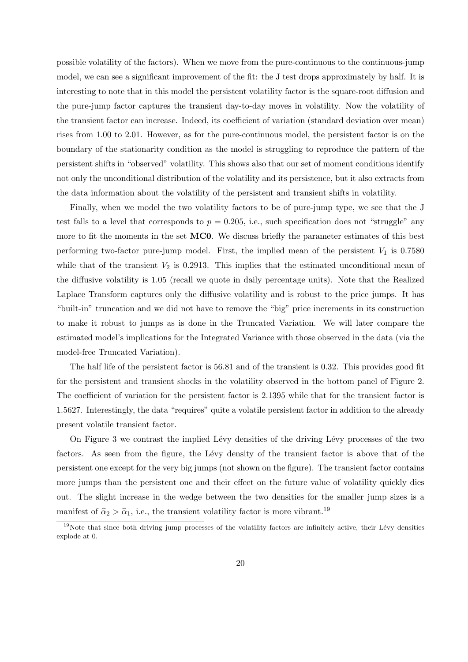possible volatility of the factors). When we move from the pure-continuous to the continuous-jump model, we can see a significant improvement of the fit: the J test drops approximately by half. It is interesting to note that in this model the persistent volatility factor is the square-root diffusion and the pure-jump factor captures the transient day-to-day moves in volatility. Now the volatility of the transient factor can increase. Indeed, its coefficient of variation (standard deviation over mean) rises from 1*.*00 to 2*.*01. However, as for the pure-continuous model, the persistent factor is on the boundary of the stationarity condition as the model is struggling to reproduce the pattern of the persistent shifts in "observed" volatility. This shows also that our set of moment conditions identify not only the unconditional distribution of the volatility and its persistence, but it also extracts from the data information about the volatility of the persistent and transient shifts in volatility.

Finally, when we model the two volatility factors to be of pure-jump type, we see that the J test falls to a level that corresponds to  $p = 0.205$ , i.e., such specification does not "struggle" any more to fit the moments in the set **MC0**. We discuss briefly the parameter estimates of this best performing two-factor pure-jump model. First, the implied mean of the persistent  $V_1$  is 0.7580 while that of the transient  $V_2$  is 0.2913. This implies that the estimated unconditional mean of the diffusive volatility is 1*.*05 (recall we quote in daily percentage units). Note that the Realized Laplace Transform captures only the diffusive volatility and is robust to the price jumps. It has "built-in" truncation and we did not have to remove the "big" price increments in its construction to make it robust to jumps as is done in the Truncated Variation. We will later compare the estimated model's implications for the Integrated Variance with those observed in the data (via the model-free Truncated Variation).

The half life of the persistent factor is 56*.*81 and of the transient is 0*.*32. This provides good fit for the persistent and transient shocks in the volatility observed in the bottom panel of Figure 2. The coefficient of variation for the persistent factor is 2*.*1395 while that for the transient factor is 1*.*5627. Interestingly, the data "requires" quite a volatile persistent factor in addition to the already present volatile transient factor.

On Figure 3 we contrast the implied Lévy densities of the driving Lévy processes of the two factors. As seen from the figure, the Lévy density of the transient factor is above that of the persistent one except for the very big jumps (not shown on the figure). The transient factor contains more jumps than the persistent one and their effect on the future value of volatility quickly dies out. The slight increase in the wedge between the two densities for the smaller jump sizes is a manifest of  $\hat{\alpha}_2 > \hat{\alpha}_1$ , i.e., the transient volatility factor is more vibrant.<sup>19</sup>

 $19$ Note that since both driving jump processes of the volatility factors are infinitely active, their Lévy densities explode at 0.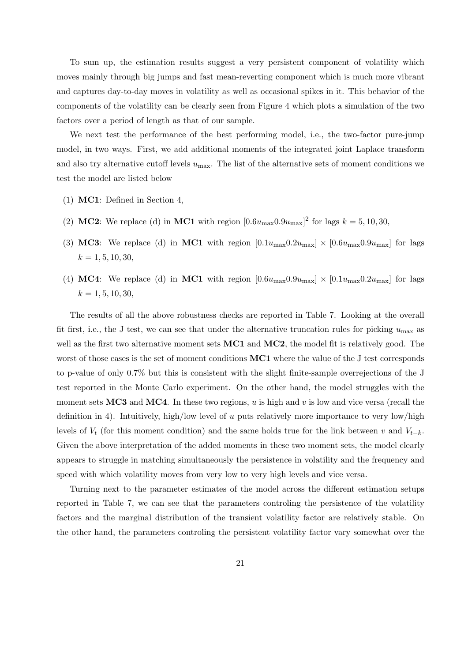To sum up, the estimation results suggest a very persistent component of volatility which moves mainly through big jumps and fast mean-reverting component which is much more vibrant and captures day-to-day moves in volatility as well as occasional spikes in it. This behavior of the components of the volatility can be clearly seen from Figure 4 which plots a simulation of the two factors over a period of length as that of our sample.

We next test the performance of the best performing model, i.e., the two-factor pure-jump model, in two ways. First, we add additional moments of the integrated joint Laplace transform and also try alternative cutoff levels  $u_{\text{max}}$ . The list of the alternative sets of moment conditions we test the model are listed below

- (1) **MC1**: Defined in Section 4,
- (2) **MC2**: We replace (d) in **MC1** with region  $[0.6u_{\text{max}}0.9u_{\text{max}}]^2$  for lags  $k = 5, 10, 30$ ,
- (3) **MC3**: We replace (d) in **MC1** with region  $[0.1u_{\text{max}}0.2u_{\text{max}}] \times [0.6u_{\text{max}}0.9u_{\text{max}}]$  for lags  $k = 1, 5, 10, 30,$
- (4) **MC4**: We replace (d) in **MC1** with region  $[0.6u_{\text{max}}0.9u_{\text{max}}] \times [0.1u_{\text{max}}0.2u_{\text{max}}]$  for lags  $k = 1, 5, 10, 30,$

The results of all the above robustness checks are reported in Table 7. Looking at the overall fit first, i.e., the J test, we can see that under the alternative truncation rules for picking *u*max as well as the first two alternative moment sets **MC1** and **MC2**, the model fit is relatively good. The worst of those cases is the set of moment conditions **MC1** where the value of the J test corresponds to p-value of only 0*.*7% but this is consistent with the slight finite-sample overrejections of the J test reported in the Monte Carlo experiment. On the other hand, the model struggles with the moment sets **MC3** and **MC4**. In these two regions, *u* is high and *v* is low and vice versa (recall the definition in 4). Intuitively, high/low level of *u* puts relatively more importance to very low/high levels of  $V_t$  (for this moment condition) and the same holds true for the link between *v* and  $V_{t-k}$ . Given the above interpretation of the added moments in these two moment sets, the model clearly appears to struggle in matching simultaneously the persistence in volatility and the frequency and speed with which volatility moves from very low to very high levels and vice versa.

Turning next to the parameter estimates of the model across the different estimation setups reported in Table 7, we can see that the parameters controling the persistence of the volatility factors and the marginal distribution of the transient volatility factor are relatively stable. On the other hand, the parameters controling the persistent volatility factor vary somewhat over the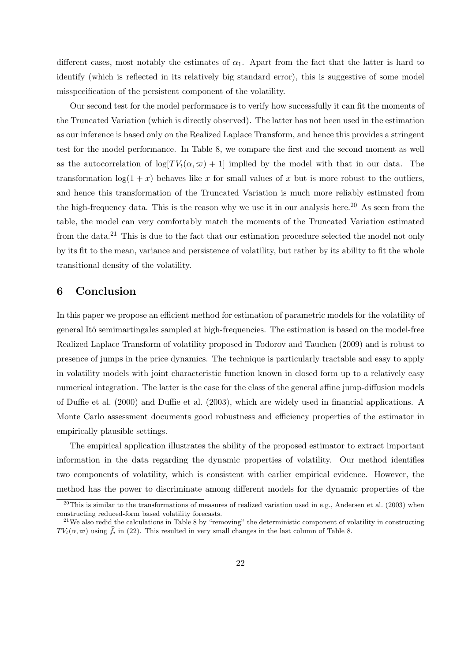different cases, most notably the estimates of  $\alpha_1$ . Apart from the fact that the latter is hard to identify (which is reflected in its relatively big standard error), this is suggestive of some model misspecification of the persistent component of the volatility.

Our second test for the model performance is to verify how successfully it can fit the moments of the Truncated Variation (which is directly observed). The latter has not been used in the estimation as our inference is based only on the Realized Laplace Transform, and hence this provides a stringent test for the model performance. In Table 8, we compare the first and the second moment as well as the autocorrelation of  $\log[T V_t(\alpha, \varpi) + 1]$  implied by the model with that in our data. The transformation  $\log(1 + x)$  behaves like x for small values of x but is more robust to the outliers. and hence this transformation of the Truncated Variation is much more reliably estimated from the high-frequency data. This is the reason why we use it in our analysis here.<sup>20</sup> As seen from the table, the model can very comfortably match the moments of the Truncated Variation estimated from the data.<sup>21</sup> This is due to the fact that our estimation procedure selected the model not only by its fit to the mean, variance and persistence of volatility, but rather by its ability to fit the whole transitional density of the volatility.

# **6 Conclusion**

In this paper we propose an efficient method for estimation of parametric models for the volatility of general Itô semimartingales sampled at high-frequencies. The estimation is based on the model-free Realized Laplace Transform of volatility proposed in Todorov and Tauchen (2009) and is robust to presence of jumps in the price dynamics. The technique is particularly tractable and easy to apply in volatility models with joint characteristic function known in closed form up to a relatively easy numerical integration. The latter is the case for the class of the general affine jump-diffusion models of Duffie et al. (2000) and Duffie et al. (2003), which are widely used in financial applications. A Monte Carlo assessment documents good robustness and efficiency properties of the estimator in empirically plausible settings.

The empirical application illustrates the ability of the proposed estimator to extract important information in the data regarding the dynamic properties of volatility. Our method identifies two components of volatility, which is consistent with earlier empirical evidence. However, the method has the power to discriminate among different models for the dynamic properties of the

 $^{20}$ This is similar to the transformations of measures of realized variation used in e.g., Andersen et al. (2003) when constructing reduced-form based volatility forecasts.

<sup>&</sup>lt;sup>21</sup>We also redid the calculations in Table 8 by "removing" the deterministic component of volatility in constructing  $TV_t(\alpha, \varpi)$  using  $\hat{f}_i$  in (22). This resulted in very small changes in the last column of Table 8.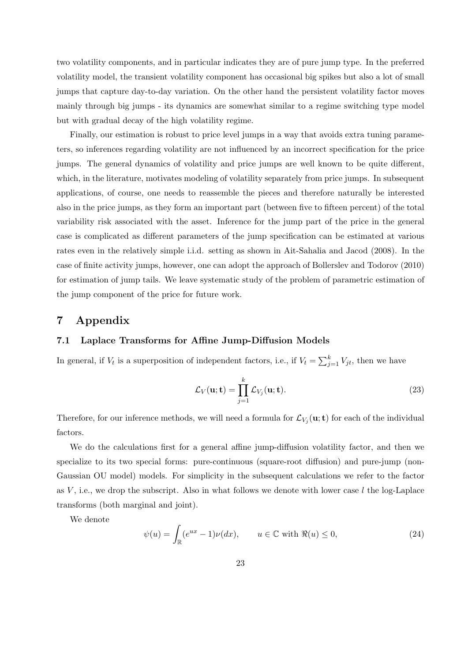two volatility components, and in particular indicates they are of pure jump type. In the preferred volatility model, the transient volatility component has occasional big spikes but also a lot of small jumps that capture day-to-day variation. On the other hand the persistent volatility factor moves mainly through big jumps - its dynamics are somewhat similar to a regime switching type model but with gradual decay of the high volatility regime.

Finally, our estimation is robust to price level jumps in a way that avoids extra tuning parameters, so inferences regarding volatility are not influenced by an incorrect specification for the price jumps. The general dynamics of volatility and price jumps are well known to be quite different, which, in the literature, motivates modeling of volatility separately from price jumps. In subsequent applications, of course, one needs to reassemble the pieces and therefore naturally be interested also in the price jumps, as they form an important part (between five to fifteen percent) of the total variability risk associated with the asset. Inference for the jump part of the price in the general case is complicated as different parameters of the jump specification can be estimated at various rates even in the relatively simple i.i.d. setting as shown in Ait-Sahalia and Jacod (2008). In the case of finite activity jumps, however, one can adopt the approach of Bollerslev and Todorov (2010) for estimation of jump tails. We leave systematic study of the problem of parametric estimation of the jump component of the price for future work.

# **7 Appendix**

### **7.1 Laplace Transforms for Affine Jump-Diffusion Models**

In general, if  $V_t$  is a superposition of independent factors, i.e., if  $V_t = \sum_{j=1}^k V_{jt}$ , then we have

$$
\mathcal{L}_V(\mathbf{u}; \mathbf{t}) = \prod_{j=1}^k \mathcal{L}_{V_j}(\mathbf{u}; \mathbf{t}).
$$
\n(23)

Therefore, for our inference methods, we will need a formula for  $\mathcal{L}_{V_j}(\mathbf{u}; \mathbf{t})$  for each of the individual factors.

We do the calculations first for a general affine jump-diffusion volatility factor, and then we specialize to its two special forms: pure-continuous (square-root diffusion) and pure-jump (non-Gaussian OU model) models. For simplicity in the subsequent calculations we refer to the factor as *V* , i.e., we drop the subscript. Also in what follows we denote with lower case *l* the log-Laplace transforms (both marginal and joint).

We denote

$$
\psi(u) = \int_{\mathbb{R}} (e^{ux} - 1)\nu(dx), \qquad u \in \mathbb{C} \text{ with } \Re(u) \le 0,
$$
\n(24)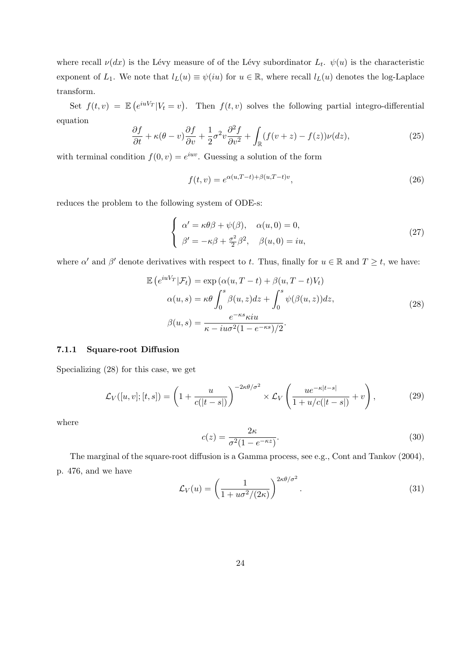where recall  $\nu(dx)$  is the Lévy measure of of the Lévy subordinator  $L_t$ .  $\psi(u)$  is the characteristic exponent of *L*<sub>1</sub>. We note that  $l_L(u) \equiv \psi(iu)$  for  $u \in \mathbb{R}$ , where recall  $l_L(u)$  denotes the log-Laplace transform.

Set  $f(t, v) = \mathbb{E} \left( e^{iuV_T} | V_t = v \right)$ . Then  $f(t, v)$  solves the following partial integro-differential equation

$$
\frac{\partial f}{\partial t} + \kappa(\theta - v)\frac{\partial f}{\partial v} + \frac{1}{2}\sigma^2 v \frac{\partial^2 f}{\partial v^2} + \int_{\mathbb{R}} (f(v+z) - f(z))\nu(dz),\tag{25}
$$

with terminal condition  $f(0, v) = e^{iuv}$ . Guessing a solution of the form

$$
f(t,v) = e^{\alpha(u,T-t) + \beta(u,T-t)v},\tag{26}
$$

reduces the problem to the following system of ODE-s:

$$
\begin{cases}\n\alpha' = \kappa \theta \beta + \psi(\beta), & \alpha(u, 0) = 0, \\
\beta' = -\kappa \beta + \frac{\sigma^2}{2} \beta^2, & \beta(u, 0) = iu,\n\end{cases}
$$
\n(27)

where  $\alpha'$  and  $\beta'$  denote derivatives with respect to *t*. Thus, finally for  $u \in \mathbb{R}$  and  $T \geq t$ , we have:

$$
\mathbb{E}\left(e^{iuV_T}|\mathcal{F}_t\right) = \exp\left(\alpha(u,T-t) + \beta(u,T-t)V_t\right)
$$

$$
\alpha(u,s) = \kappa\theta \int_0^s \beta(u,z)dz + \int_0^s \psi(\beta(u,z))dz,
$$

$$
\beta(u,s) = \frac{e^{-\kappa s}\kappa iu}{\kappa - iu\sigma^2(1 - e^{-\kappa s})/2}.
$$
 (28)

### **7.1.1 Square-root Diffusion**

Specializing (28) for this case, we get

$$
\mathcal{L}_V([u, v]; [t, s]) = \left(1 + \frac{u}{c(|t - s|)}\right)^{-2\kappa\theta/\sigma^2} \times \mathcal{L}_V\left(\frac{ue^{-\kappa|t - s|}}{1 + u/c(|t - s|)} + v\right),\tag{29}
$$

where

$$
c(z) = \frac{2\kappa}{\sigma^2 (1 - e^{-\kappa z})}.
$$
\n(30)

The marginal of the square-root diffusion is a Gamma process, see e.g., Cont and Tankov (2004), p. 476, and we have

$$
\mathcal{L}_V(u) = \left(\frac{1}{1 + u\sigma^2/(2\kappa)}\right)^{2\kappa\theta/\sigma^2}.\tag{31}
$$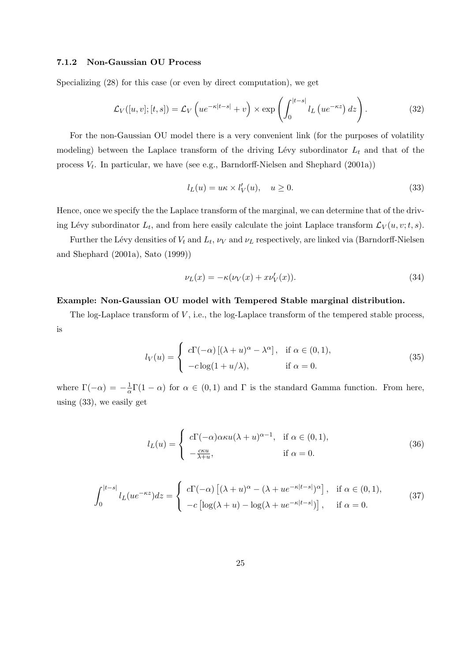### **7.1.2 Non-Gaussian OU Process**

Specializing (28) for this case (or even by direct computation), we get

$$
\mathcal{L}_V([u, v]; [t, s]) = \mathcal{L}_V\left(ue^{-\kappa|t - s|} + v\right) \times \exp\left(\int_0^{|t - s|} l_L\left(ue^{-\kappa z}\right) dz\right). \tag{32}
$$

For the non-Gaussian OU model there is a very convenient link (for the purposes of volatility modeling) between the Laplace transform of the driving Lévy subordinator  $L_t$  and that of the process *V<sup>t</sup>* . In particular, we have (see e.g., Barndorff-Nielsen and Shephard (2001a))

$$
l_L(u) = u\kappa \times l'_V(u), \quad u \ge 0.
$$
\n(33)

Hence, once we specify the the Laplace transform of the marginal, we can determine that of the driving Lévy subordinator  $L_t$ , and from here easily calculate the joint Laplace transform  $\mathcal{L}_V(u, v; t, s)$ .

Further the Lévy densities of  $V_t$  and  $L_t$ ,  $\nu_V$  and  $\nu_L$  respectively, are linked via (Barndorff-Nielsen and Shephard (2001a), Sato (1999))

$$
\nu_L(x) = -\kappa(\nu_V(x) + x\nu_V'(x)).\tag{34}
$$

### **Example: Non-Gaussian OU model with Tempered Stable marginal distribution.**

The log-Laplace transform of  $V$ , i.e., the log-Laplace transform of the tempered stable process, is

$$
l_V(u) = \begin{cases} c\Gamma(-\alpha) \left[ (\lambda + u)^{\alpha} - \lambda^{\alpha} \right], & \text{if } \alpha \in (0, 1), \\ -c \log(1 + u/\lambda), & \text{if } \alpha = 0. \end{cases}
$$
 (35)

where  $\Gamma(-\alpha) = -\frac{1}{\alpha}$  $\frac{1}{\alpha}\Gamma(1-\alpha)$  for  $\alpha \in (0,1)$  and  $\Gamma$  is the standard Gamma function. From here, using (33), we easily get

$$
l_L(u) = \begin{cases} c\Gamma(-\alpha)\alpha\kappa u(\lambda + u)^{\alpha - 1}, & \text{if } \alpha \in (0, 1), \\ -\frac{c\kappa u}{\lambda + u}, & \text{if } \alpha = 0. \end{cases}
$$
 (36)

$$
\int_0^{|t-s|} l_L(ue^{-\kappa z}) dz = \begin{cases} c\Gamma(-\alpha) \left[ (\lambda + u)^{\alpha} - (\lambda + ue^{-\kappa|t-s|})^{\alpha} \right], & \text{if } \alpha \in (0,1), \\ -c \left[ \log(\lambda + u) - \log(\lambda + ue^{-\kappa|t-s|}) \right], & \text{if } \alpha = 0. \end{cases}
$$
(37)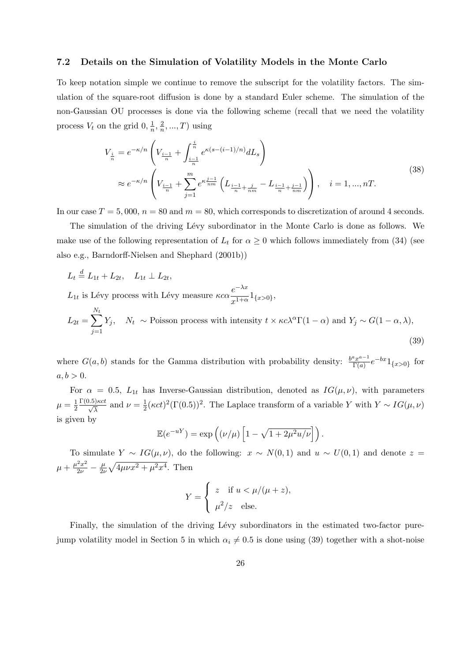### **7.2 Details on the Simulation of Volatility Models in the Monte Carlo**

To keep notation simple we continue to remove the subscript for the volatility factors. The simulation of the square-root diffusion is done by a standard Euler scheme. The simulation of the non-Gaussian OU processes is done via the following scheme (recall that we need the volatility process  $V_t$  on the grid  $0, \frac{1}{n}$  $\frac{1}{n}$ ,  $\frac{2}{n}$  $\frac{2}{n}, ..., T$ ) using

$$
V_{\frac{i}{n}} = e^{-\kappa/n} \left( V_{\frac{i-1}{n}} + \int_{\frac{i-1}{n}}^{\frac{i}{n}} e^{\kappa(s - (i-1)/n)} dL_s \right)
$$
  

$$
\approx e^{-\kappa/n} \left( V_{\frac{i-1}{n}} + \sum_{j=1}^{m} e^{\kappa \frac{j-1}{nm}} \left( L_{\frac{i-1}{n} + \frac{j}{nm}} - L_{\frac{i-1}{n} + \frac{j-1}{nm}} \right) \right), \quad i = 1, ..., n.
$$
 (38)

In our case  $T = 5,000$ ,  $n = 80$  and  $m = 80$ , which corresponds to discretization of around 4 seconds.

The simulation of the driving Lévy subordinator in the Monte Carlo is done as follows. We make use of the following representation of  $L_t$  for  $\alpha \geq 0$  which follows immediately from (34) (see also e.g., Barndorff-Nielsen and Shephard (2001b))

$$
L_t \stackrel{d}{=} L_{1t} + L_{2t}, \quad L_{1t} \perp L_{2t}
$$

 $L_{1t}$  is Lévy process with Lévy measure  $\kappa c \alpha \frac{e^{-\lambda x}}{e^{-\lambda t}}$  $\frac{c}{x^{1+\alpha}}1_{\{x>0\}},$ 

*,*

$$
L_{2t} = \sum_{j=1}^{N_t} Y_j, \quad N_t \sim \text{Poisson process with intensity } t \times \kappa c \lambda^{\alpha} \Gamma(1-\alpha) \text{ and } Y_j \sim G(1-\alpha, \lambda),\tag{39}
$$

where  $G(a, b)$  stands for the Gamma distribution with probability density:  $\frac{b^a x^{a-1}}{\Gamma(a)}$  $\frac{d^a x^{a-1}}{\Gamma(a)} e^{-bx} 1_{\{x>0\}}$  for  $a, b > 0.$ 

For  $\alpha = 0.5$ ,  $L_{1t}$  has Inverse-Gaussian distribution, denoted as  $IG(\mu, \nu)$ , with parameters  $\mu = \frac{1}{2}$ 2  $\frac{\Gamma(0.5)\kappa ct}{\sqrt{\lambda}}$  and  $\nu = \frac{1}{2}$  $\frac{1}{2}(\kappa ct)^2(\Gamma(0.5))^2$ . The Laplace transform of a variable *Y* with  $Y \sim IG(\mu, \nu)$ is given by

$$
\mathbb{E}(e^{-uY}) = \exp\left((\nu/\mu)\left[1-\sqrt{1+2\mu^2 u/\nu}\right]\right).
$$

To simulate  $Y \sim IG(\mu, \nu)$ , do the following:  $x \sim N(0, 1)$  and  $u \sim U(0, 1)$  and denote  $z =$  $\mu + \frac{\mu^2 x^2}{2\nu} - \frac{\mu}{2\nu}$  $\frac{\mu}{2\nu}\sqrt{4\mu\nu x^2 + \mu^2 x^4}$ . Then

$$
Y = \begin{cases} z & \text{if } u < \mu/(\mu + z), \\ \mu^2/z & \text{else.} \end{cases}
$$

Finally, the simulation of the driving Lévy subordinators in the estimated two-factor purejump volatility model in Section 5 in which  $\alpha_i \neq 0.5$  is done using (39) together with a shot-noise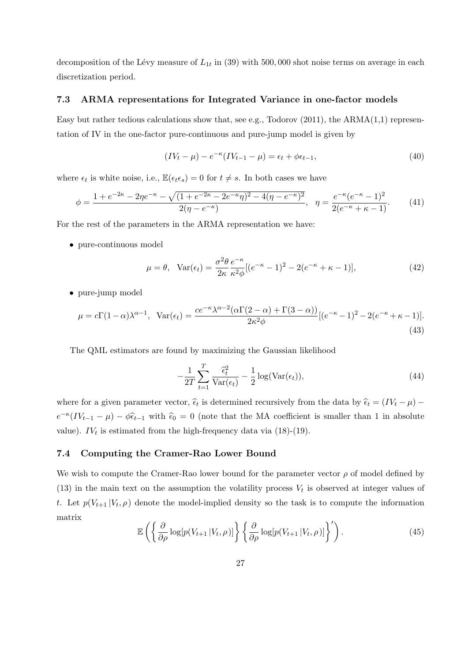decomposition of the Lévy measure of  $L_{1t}$  in (39) with 500,000 shot noise terms on average in each discretization period.

### **7.3 ARMA representations for Integrated Variance in one-factor models**

Easy but rather tedious calculations show that, see e.g., Todorov  $(2011)$ , the ARMA $(1,1)$  representation of IV in the one-factor pure-continuous and pure-jump model is given by

$$
(IVt - \mu) - e^{-\kappa}(IVt-1 - \mu) = \epsilon_t + \phi \epsilon_{t-1},
$$
\n(40)

where  $\epsilon_t$  is white noise, i.e.,  $\mathbb{E}(\epsilon_t \epsilon_s) = 0$  for  $t \neq s$ . In both cases we have

$$
\phi = \frac{1 + e^{-2\kappa} - 2\eta e^{-\kappa} - \sqrt{(1 + e^{-2\kappa} - 2e^{-\kappa}\eta)^2 - 4(\eta - e^{-\kappa})^2}}{2(\eta - e^{-\kappa})}, \quad \eta = \frac{e^{-\kappa}(e^{-\kappa} - 1)^2}{2(e^{-\kappa} + \kappa - 1)}.\tag{41}
$$

For the rest of the parameters in the ARMA representation we have:

*•* pure-continuous model

$$
\mu = \theta, \quad \text{Var}(\epsilon_t) = \frac{\sigma^2 \theta}{2\kappa} \frac{e^{-\kappa}}{\kappa^2 \phi} [(e^{-\kappa} - 1)^2 - 2(e^{-\kappa} + \kappa - 1)],\tag{42}
$$

*•* pure-jump model

$$
\mu = c\Gamma(1-\alpha)\lambda^{\alpha-1}, \quad \text{Var}(\epsilon_t) = \frac{ce^{-\kappa}\lambda^{\alpha-2}(\alpha\Gamma(2-\alpha) + \Gamma(3-\alpha))}{2\kappa^2\phi}[(e^{-\kappa}-1)^2 - 2(e^{-\kappa}+\kappa-1)].
$$
\n(43)

The QML estimators are found by maximizing the Gaussian likelihood

$$
-\frac{1}{2T} \sum_{t=1}^{T} \frac{\hat{\epsilon}_t^2}{\text{Var}(\epsilon_t)} - \frac{1}{2} \log(\text{Var}(\epsilon_t)),\tag{44}
$$

where for a given parameter vector,  $\hat{\epsilon}_t$  is determined recursively from the data by  $\hat{\epsilon}_t = (IV_t - \mu)$  $e^{-\kappa}(IV_{t-1} - \mu) - \phi \hat{\epsilon}_{t-1}$  with  $\hat{\epsilon}_0 = 0$  (note that the MA coefficient is smaller than 1 in absolute value).  $IV_t$  is estimated from the high-frequency data via  $(18)-(19)$ .

### **7.4 Computing the Cramer-Rao Lower Bound**

We wish to compute the Cramer-Rao lower bound for the parameter vector  $\rho$  of model defined by (13) in the main text on the assumption the volatility process  $V_t$  is observed at integer values of *t*. Let  $p(V_{t+1} | V_t, \rho)$  denote the model-implied density so the task is to compute the information matrix

$$
\mathbb{E}\left(\left\{\frac{\partial}{\partial \rho}\log\left[p(V_{t+1}\left|V_t,\rho\right)\right]\right\}\left\{\frac{\partial}{\partial \rho}\log\left[p(V_{t+1}\left|V_t,\rho\right)\right]\right\}'\right).
$$
\n(45)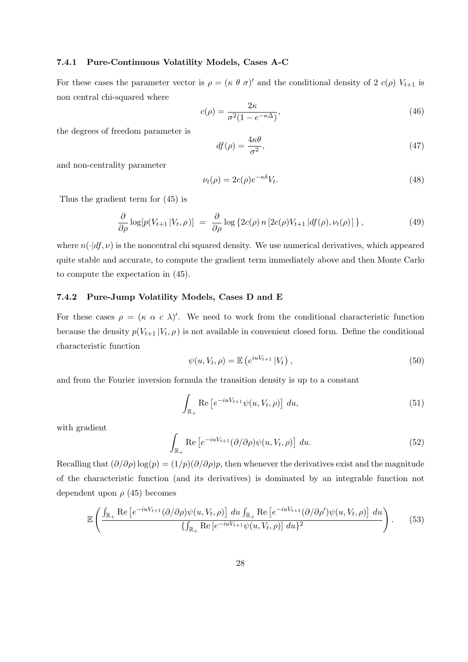#### **7.4.1 Pure-Continuous Volatility Models, Cases A-C**

For these cases the parameter vector is  $\rho = (\kappa \theta \sigma)'$  and the conditional density of 2  $c(\rho)$   $V_{t+1}$  is non central chi-squared where

$$
c(\rho) = \frac{2\kappa}{\sigma^2 (1 - e^{-\kappa \Delta})},\tag{46}
$$

the degrees of freedom parameter is

$$
df(\rho) = \frac{4\kappa\theta}{\sigma^2},\tag{47}
$$

and non-centrality parameter

$$
\nu_t(\rho) = 2c(\rho)e^{-\kappa\delta}V_t.
$$
\n(48)

Thus the gradient term for (45) is

$$
\frac{\partial}{\partial \rho} \log [p(V_{t+1} | V_t, \rho)] = \frac{\partial}{\partial \rho} \log \{ 2c(\rho) n \left[ 2c(\rho) V_{t+1} | df(\rho), \nu_t(\rho) \right] \},\tag{49}
$$

where  $n(\cdot|df, \nu)$  is the noncentral chi squared density. We use numerical derivatives, which appeared quite stable and accurate, to compute the gradient term immediately above and then Monte Carlo to compute the expectation in (45).

### **7.4.2 Pure-Jump Volatility Models, Cases D and E**

For these cases  $\rho = (\kappa \alpha c \lambda)'$ . We need to work from the conditional characteristic function because the density  $p(V_{t+1} | V_t, \rho)$  is not available in convenient closed form. Define the conditional characteristic function

$$
\psi(u, V_t, \rho) = \mathbb{E}\left(e^{iuV_{t+1}} | V_t\right),\tag{50}
$$

and from the Fourier inversion formula the transition density is up to a constant

$$
\int_{\mathbb{R}_+} \text{Re}\left[e^{-iuV_{t+1}}\psi(u, V_t, \rho)\right] du,\tag{51}
$$

with gradient

$$
\int_{\mathbb{R}_+} \text{Re}\left[e^{-iuV_{t+1}}(\partial/\partial \rho)\psi(u,V_t,\rho)\right] \, du. \tag{52}
$$

Recalling that  $(\partial/\partial \rho)$  log( $p$ ) =  $(1/p)(\partial/\partial \rho)p$ , then whenever the derivatives exist and the magnitude of the characteristic function (and its derivatives) is dominated by an integrable function not dependent upon  $\rho$  (45) becomes

$$
\mathbb{E}\left(\frac{\int_{\mathbb{R}_+} \text{Re}\left[e^{-iuV_{t+1}}(\partial/\partial \rho)\psi(u,V_t,\rho)\right] du \int_{\mathbb{R}_+} \text{Re}\left[e^{-iuV_{t+1}}(\partial/\partial \rho')\psi(u,V_t,\rho)\right] du}{\{\int_{\mathbb{R}_+} \text{Re}\left[e^{-iuV_{t+1}}\psi(u,V_t,\rho)\right] du\}^2}\right).
$$
(53)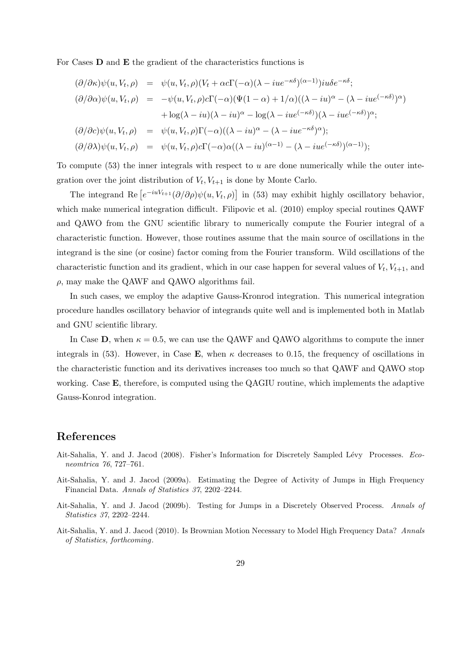For Cases **D** and **E** the gradient of the characteristics functions is

$$
(\partial/\partial \kappa)\psi(u, V_t, \rho) = \psi(u, V_t, \rho)(V_t + \alpha c\Gamma(-\alpha)(\lambda - iue^{-\kappa\delta})^{(\alpha-1)})iu\delta e^{-\kappa\delta};
$$
  
\n
$$
(\partial/\partial \alpha)\psi(u, V_t, \rho) = -\psi(u, V_t, \rho)c\Gamma(-\alpha)(\Psi(1 - \alpha) + 1/\alpha)((\lambda - iu)^{\alpha} - (\lambda - iue^{(-\kappa\delta)})^{\alpha})
$$
  
\n
$$
+ \log(\lambda - iu)(\lambda - iu)^{\alpha} - \log(\lambda - iue^{(-\kappa\delta)})(\lambda - iue^{(-\kappa\delta)})^{\alpha};
$$
  
\n
$$
(\partial/\partial c)\psi(u, V_t, \rho) = \psi(u, V_t, \rho)\Gamma(-\alpha)((\lambda - iu)^{\alpha} - (\lambda - iue^{-\kappa\delta})^{\alpha});
$$
  
\n
$$
(\partial/\partial \lambda)\psi(u, V_t, \rho) = \psi(u, V_t, \rho)c\Gamma(-\alpha)\alpha((\lambda - iu)^{(\alpha-1)} - (\lambda - iue^{(-\kappa\delta)})^{(\alpha-1)});
$$

To compute (53) the inner integrals with respect to *u* are done numerically while the outer integration over the joint distribution of  $V_t$ ,  $V_{t+1}$  is done by Monte Carlo.

The integrand Re  $[e^{-iuV_{t+1}}(\partial/\partial \rho)\psi(u, V_t, \rho)]$  in (53) may exhibit highly oscillatory behavior, which make numerical integration difficult. Filipovic et al. (2010) employ special routines QAWF and QAWO from the GNU scientific library to numerically compute the Fourier integral of a characteristic function. However, those routines assume that the main source of oscillations in the integrand is the sine (or cosine) factor coming from the Fourier transform. Wild oscillations of the characteristic function and its gradient, which in our case happen for several values of  $V_t$ ,  $V_{t+1}$ , and *ρ*, may make the QAWF and QAWO algorithms fail.

In such cases, we employ the adaptive Gauss-Kronrod integration. This numerical integration procedure handles oscillatory behavior of integrands quite well and is implemented both in Matlab and GNU scientific library.

In Case **D**, when  $\kappa = 0.5$ , we can use the QAWF and QAWO algorithms to compute the inner integrals in (53). However, in Case **E**, when  $\kappa$  decreases to 0.15, the frequency of oscillations in the characteristic function and its derivatives increases too much so that QAWF and QAWO stop working. Case **E**, therefore, is computed using the QAGIU routine, which implements the adaptive Gauss-Konrod integration.

### **References**

- Ait-Sahalia, Y. and J. Jacod (2008). Fisher's Information for Discretely Sampled Lévy Processes. *Econeomtrica 76*, 727–761.
- Ait-Sahalia, Y. and J. Jacod (2009a). Estimating the Degree of Activity of Jumps in High Frequency Financial Data. *Annals of Statistics 37*, 2202–2244.
- Ait-Sahalia, Y. and J. Jacod (2009b). Testing for Jumps in a Discretely Observed Process. *Annals of Statistics 37*, 2202–2244.
- Ait-Sahalia, Y. and J. Jacod (2010). Is Brownian Motion Necessary to Model High Frequency Data? *Annals of Statistics, forthcoming*.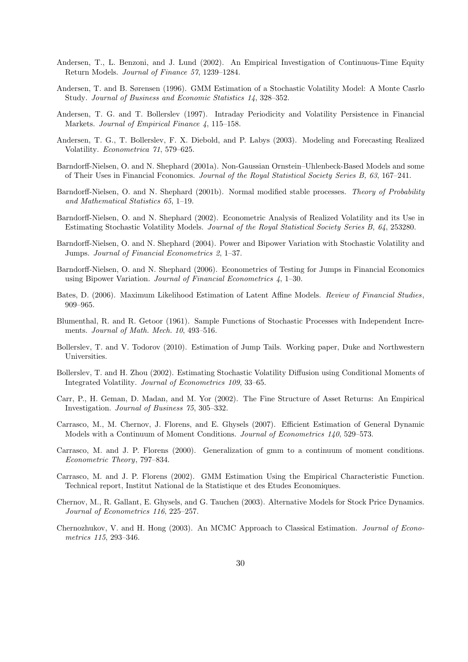- Andersen, T., L. Benzoni, and J. Lund (2002). An Empirical Investigation of Continuous-Time Equity Return Models. *Journal of Finance 57*, 1239–1284.
- Andersen, T. and B. Sørensen (1996). GMM Estimation of a Stochastic Volatility Model: A Monte Casrlo Study. *Journal of Business and Economic Statistics 14*, 328–352.
- Andersen, T. G. and T. Bollerslev (1997). Intraday Periodicity and Volatility Persistence in Financial Markets. *Journal of Empirical Finance 4*, 115–158.
- Andersen, T. G., T. Bollerslev, F. X. Diebold, and P. Labys (2003). Modeling and Forecasting Realized Volatility. *Econometrica 71*, 579–625.
- Barndorff-Nielsen, O. and N. Shephard (2001a). Non-Gaussian Ornstein–Uhlenbeck-Based Models and some of Their Uses in Financial Fconomics. *Journal of the Royal Statistical Society Series B, 63*, 167–241.
- Barndorff-Nielsen, O. and N. Shephard (2001b). Normal modified stable processes. *Theory of Probability and Mathematical Statistics 65*, 1–19.
- Barndorff-Nielsen, O. and N. Shephard (2002). Econometric Analysis of Realized Volatility and its Use in Estimating Stochastic Volatility Models. *Journal of the Royal Statistical Society Series B, 64*, 253280.
- Barndorff-Nielsen, O. and N. Shephard (2004). Power and Bipower Variation with Stochastic Volatility and Jumps. *Journal of Financial Econometrics 2*, 1–37.
- Barndorff-Nielsen, O. and N. Shephard (2006). Econometrics of Testing for Jumps in Financial Economics using Bipower Variation. *Journal of Financial Econometrics 4*, 1–30.
- Bates, D. (2006). Maximum Likelihood Estimation of Latent Affine Models. *Review of Financial Studies*, 909–965.
- Blumenthal, R. and R. Getoor (1961). Sample Functions of Stochastic Processes with Independent Increments. *Journal of Math. Mech. 10*, 493–516.
- Bollerslev, T. and V. Todorov (2010). Estimation of Jump Tails. Working paper, Duke and Northwestern Universities.
- Bollerslev, T. and H. Zhou (2002). Estimating Stochastic Volatility Diffusion using Conditional Moments of Integrated Volatility. *Journal of Econometrics 109*, 33–65.
- Carr, P., H. Geman, D. Madan, and M. Yor (2002). The Fine Structure of Asset Returns: An Empirical Investigation. *Journal of Business 75*, 305–332.
- Carrasco, M., M. Chernov, J. Florens, and E. Ghysels (2007). Efficient Estimation of General Dynamic Models with a Continuum of Moment Conditions. *Journal of Econometrics 140*, 529–573.
- Carrasco, M. and J. P. Florens (2000). Generalization of gmm to a continuum of moment conditions. *Econometric Theory*, 797–834.
- Carrasco, M. and J. P. Florens (2002). GMM Estimation Using the Empirical Characteristic Function. Technical report, Institut National de la Statistique et des Etudes Economiques.
- Chernov, M., R. Gallant, E. Ghysels, and G. Tauchen (2003). Alternative Models for Stock Price Dynamics. *Journal of Econometrics 116*, 225–257.
- Chernozhukov, V. and H. Hong (2003). An MCMC Approach to Classical Estimation. *Journal of Econometrics 115*, 293–346.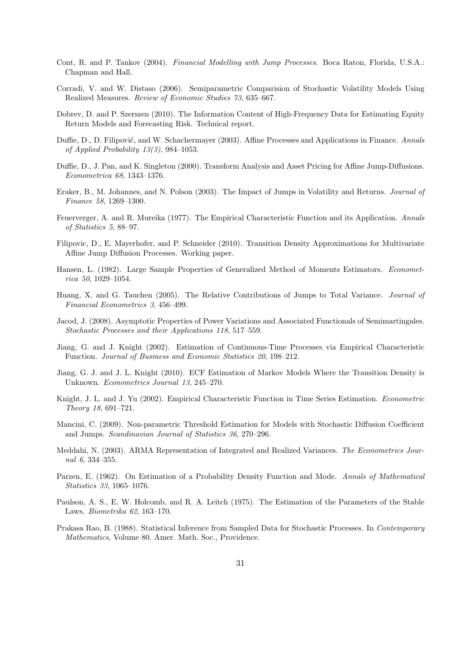- Cont, R. and P. Tankov (2004). *Financial Modelling with Jump Processes*. Boca Raton, Florida, U.S.A.: Chapman and Hall.
- Corradi, V. and W. Distaso (2006). Semiparametric Comparision of Stochastic Volatility Models Using Realized Measures. *Review of Economic Studies 73*, 635–667.
- Dobrev, D. and P. Szerszen (2010). The Information Content of High-Frequency Data for Estimating Equity Return Models and Forecasting Risk. Technical report.
- Duffie, D., D. Filipović, and W. Schachermayer (2003). Affine Processes and Applications in Finance. *Annals of Applied Probability 13(3)*, 984–1053.
- Duffie, D., J. Pan, and K. Singleton (2000). Transform Analysis and Asset Pricing for Affine Jump-Diffusions. *Econometrica 68*, 1343–1376.
- Eraker, B., M. Johannes, and N. Polson (2003). The Impact of Jumps in Volatility and Returns. *Journal of Finance 58*, 1269–1300.
- Feuerverger, A. and R. Mureika (1977). The Empirical Characteristic Function and its Application. *Annals of Statistics 5*, 88–97.
- Filipovic, D., E. Mayerhofer, and P. Schneider (2010). Transition Density Approximations for Multivariate Affine Jump Diffusion Processes. Working paper.
- Hansen, L. (1982). Large Sample Properties of Generalized Method of Moments Estimators. *Econometrica 50*, 1029–1054.
- Huang, X. and G. Tauchen (2005). The Relative Contributions of Jumps to Total Variance. *Journal of Financial Econometrics 3*, 456–499.
- Jacod, J. (2008). Asymptotic Properties of Power Variations and Associated Functionals of Semimartingales. *Stochastic Processes and their Applications 118*, 517–559.
- Jiang, G. and J. Knight (2002). Estimation of Continuous-Time Processes via Empirical Characteristic Function. *Journal of Business and Economic Statistics 20*, 198–212.
- Jiang, G. J. and J. L. Knight (2010). ECF Estimation of Markov Models Where the Transition Density is Unknown. *Econometrics Journal 13*, 245–270.
- Knight, J. L. and J. Yu (2002). Empirical Characteristic Function in Time Series Estimation. *Econometric Theory 18*, 691–721.
- Mancini, C. (2009). Non-parametric Threshold Estimation for Models with Stochastic Diffusion Coefficient and Jumps. *Scandinavian Journal of Statistics 36*, 270–296.
- Meddahi, N. (2003). ARMA Representation of Integrated and Realized Variances. *The Econometrics Journal 6*, 334–355.
- Parzen, E. (1962). On Estimation of a Probability Density Function and Mode. *Annals of Mathematical Statistics 33*, 1065–1076.
- Paulson, A. S., E. W. Holcomb, and R. A. Leitch (1975). The Estimation of the Parameters of the Stable Laws. *Biometrika 62*, 163–170.
- Prakasa Rao, B. (1988). Statistical Inference from Sampled Data for Stochastic Processes. In *Contemporary Mathematics*, Volume 80. Amer. Math. Soc., Providence.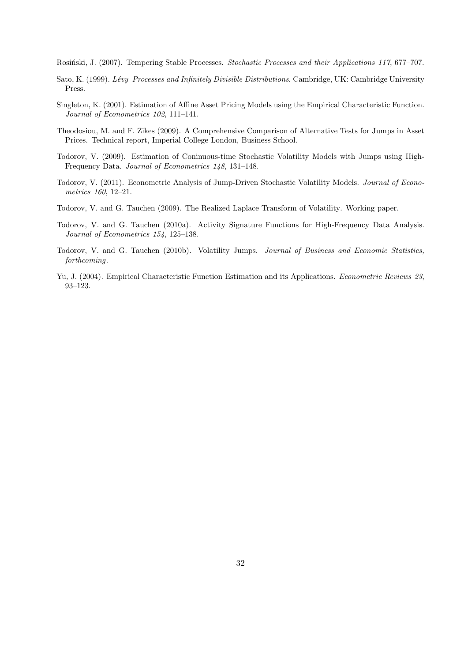Rosiński, J. (2007). Tempering Stable Processes. *Stochastic Processes and their Applications 117*, 677–707.

- Sato, K. (1999). *Lévy Processes and Infinitely Divisible Distributions*. Cambridge, UK: Cambridge University Press.
- Singleton, K. (2001). Estimation of Affine Asset Pricing Models using the Empirical Characteristic Function. *Journal of Econometrics 102*, 111–141.
- Theodosiou, M. and F. Zikes (2009). A Comprehensive Comparison of Alternative Tests for Jumps in Asset Prices. Technical report, Imperial College London, Business School.
- Todorov, V. (2009). Estimation of Coninuous-time Stochastic Volatility Models with Jumps using High-Frequency Data. *Journal of Econometrics 148*, 131–148.
- Todorov, V. (2011). Econometric Analysis of Jump-Driven Stochastic Volatility Models. *Journal of Econometrics 160*, 12–21.
- Todorov, V. and G. Tauchen (2009). The Realized Laplace Transform of Volatility. Working paper.
- Todorov, V. and G. Tauchen (2010a). Activity Signature Functions for High-Frequency Data Analysis. *Journal of Econometrics 154*, 125–138.
- Todorov, V. and G. Tauchen (2010b). Volatility Jumps. *Journal of Business and Economic Statistics, forthcoming*.
- Yu, J. (2004). Empirical Characteristic Function Estimation and its Applications. *Econometric Reviews 23*, 93–123.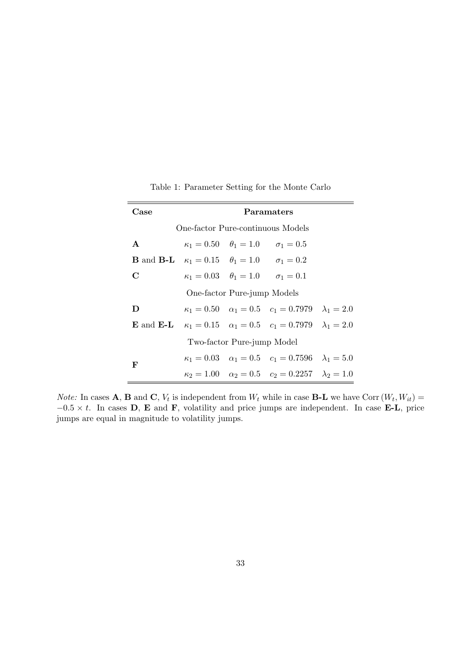| Case                                                                        | <b>Paramaters</b> |                             |                                                                                             |  |  |  |  |
|-----------------------------------------------------------------------------|-------------------|-----------------------------|---------------------------------------------------------------------------------------------|--|--|--|--|
| One-factor Pure-continuous Models                                           |                   |                             |                                                                                             |  |  |  |  |
| $\mathbf{A}$                                                                |                   |                             | $\kappa_1 = 0.50$ $\theta_1 = 1.0$ $\sigma_1 = 0.5$                                         |  |  |  |  |
| <b>B</b> and <b>B-L</b> $\kappa_1 = 0.15$ $\theta_1 = 1.0$ $\sigma_1 = 0.2$ |                   |                             |                                                                                             |  |  |  |  |
| $\mathbf C$                                                                 |                   |                             | $\kappa_1 = 0.03$ $\theta_1 = 1.0$ $\sigma_1 = 0.1$                                         |  |  |  |  |
|                                                                             |                   | One-factor Pure-jump Models |                                                                                             |  |  |  |  |
| D                                                                           |                   |                             | $\kappa_1 = 0.50$ $\alpha_1 = 0.5$ $c_1 = 0.7979$ $\lambda_1 = 2.0$                         |  |  |  |  |
|                                                                             |                   |                             | <b>E</b> and <b>E-L</b> $\kappa_1 = 0.15$ $\alpha_1 = 0.5$ $c_1 = 0.7979$ $\lambda_1 = 2.0$ |  |  |  |  |
| Two-factor Pure-jump Model                                                  |                   |                             |                                                                                             |  |  |  |  |
| F                                                                           |                   |                             | $\kappa_1 = 0.03$ $\alpha_1 = 0.5$ $c_1 = 0.7596$ $\lambda_1 = 5.0$                         |  |  |  |  |
|                                                                             |                   |                             | $\kappa_2 = 1.00 \quad \alpha_2 = 0.5 \quad c_2 = 0.2257 \quad \lambda_2 = 1.0$             |  |  |  |  |

Table 1: Parameter Setting for the Monte Carlo

*Note:* In cases **A**, **B** and **C**,  $V_t$  is independent from  $W_t$  while in case **B-L** we have Corr  $(W_t, W_{it})$  = *−*0*.*5 *× t*. In cases **D**, **E** and **F**, volatility and price jumps are independent. In case **E-L**, price jumps are equal in magnitude to volatility jumps.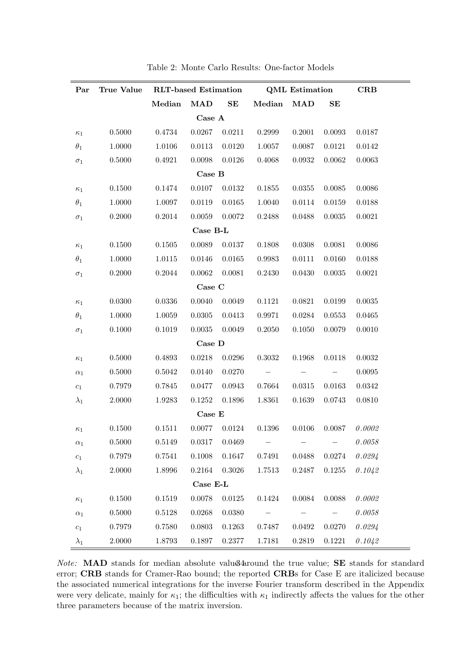| Par              | True Value RLT-based Estimation QML Estimation |               |          |                 |                          |            |                          | CRB    |
|------------------|------------------------------------------------|---------------|----------|-----------------|--------------------------|------------|--------------------------|--------|
|                  |                                                | Median MAD SE |          |                 | Median MAD               |            | SE                       |        |
| Case A           |                                                |               |          |                 |                          |            |                          |        |
| $\kappa_1$       | 0.5000                                         | 0.4734        | 0.0267   | 0.0211          | 0.2999                   | 0.2001     | 0.0093                   | 0.0187 |
| $\theta_1$       | 1.0000                                         | 1.0106        | 0.0113   | 0.0120          | 1.0057                   | 0.0087     | 0.0121                   | 0.0142 |
| $\sigma_1$       | 0.5000                                         | 0.4921        | 0.0098   | 0.0126          | 0.4068                   | 0.0932     | 0.0062                   | 0.0063 |
|                  |                                                |               | Case B   |                 |                          |            |                          |        |
| $\kappa_1$       | 0.1500                                         | 0.1474        | 0.0107   | 0.0132          | 0.1855                   | 0.0355     | 0.0085                   | 0.0086 |
| $\theta_1$       | 1.0000                                         | 1.0097        | 0.0119   | 0.0165          | 1.0040                   | 0.0114     | 0.0159                   | 0.0188 |
| $\sigma_1$       | 0.2000                                         | 0.2014        | 0.0059   | 0.0072          | 0.2488                   | 0.0488     | 0.0035                   | 0.0021 |
|                  |                                                |               | Case B-L |                 |                          |            |                          |        |
| $\kappa_1$       | 0.1500                                         | 0.1505        | 0.0089   | 0.0137          | 0.1808                   | $0.0308\,$ | 0.0081                   | 0.0086 |
| $\theta_1$       | 1.0000                                         | 1.0115        | 0.0146   | 0.0165          | 0.9983                   | 0.0111     | 0.0160                   | 0.0188 |
| $\sigma_1$       | 0.2000                                         | 0.2044        | 0.0062   | 0.0081          | 0.2430                   | 0.0430     | 0.0035                   | 0.0021 |
|                  |                                                |               | Case C   |                 |                          |            |                          |        |
| $\kappa_1$       | 0.0300                                         | 0.0336        | 0.0040   | 0.0049          | 0.1121                   | 0.0821     | 0.0199                   | 0.0035 |
| $\theta_1$       | 1.0000                                         | 1.0059        | 0.0305   | 0.0413          | 0.9971                   | 0.0284     | 0.0553                   | 0.0465 |
| $\sigma_1$       | 0.1000                                         | 0.1019        | 0.0035   | 0.0049          | 0.2050                   | 0.1050     | 0.0079                   | 0.0010 |
|                  |                                                |               | Case D   |                 |                          |            |                          |        |
| $\kappa_1$       | 0.5000                                         | 0.4893        | 0.0218   | 0.0296          | 0.3032                   | 0.1968     | 0.0118                   | 0.0032 |
| $\alpha_1$       | 0.5000                                         | 0.5042        | 0.0140   | 0.0270          | $\overline{\phantom{m}}$ |            | $\overline{\phantom{m}}$ | 0.0095 |
| $c_1$            | 0.7979                                         | 0.7845        | 0.0477   | 0.0943          | 0.7664                   | 0.0315     | 0.0163                   | 0.0342 |
| $\lambda_1$      | 2.0000                                         | 1.9283        | 0.1252   | 0.1896          | 1.8361                   | 0.1639     | 0.0743                   | 0.0810 |
|                  |                                                |               | Case E   |                 |                          |            |                          |        |
| $\kappa_1$       | 0.1500                                         | 0.1511        |          | $0.0077$ 0.0124 | 0.1396                   | 0.0106     | 0.0087                   | 0.0002 |
| $\alpha_1$       | 0.5000                                         | 0.5149        | 0.0317   | 0.0469          | $\overline{\phantom{0}}$ |            |                          | 0.0058 |
| $\mathfrak{c}_1$ | 0.7979                                         | 0.7541        | 0.1008   | 0.1647          | 0.7491                   | 0.0488     | 0.0274                   | 0.0294 |
| $\lambda_1$      | 2.0000                                         | 1.8996        | 0.2164   | 0.3026          | 1.7513                   | 0.2487     | 0.1255                   | 0.1042 |
|                  |                                                |               | Case E-L |                 |                          |            |                          |        |
| $\kappa_1$       | 0.1500                                         | 0.1519        | 0.0078   | 0.0125          | 0.1424                   | 0.0084     | 0.0088                   | 0.0002 |
| $\alpha_1$       | 0.5000                                         | 0.5128        | 0.0268   | 0.0380          |                          |            |                          | 0.0058 |
| $\mathfrak{c}_1$ | 0.7979                                         | 0.7580        | 0.0803   | 0.1263          | 0.7487                   | 0.0492     | 0.0270                   | 0.0294 |
| $\lambda_1$      | 2.0000                                         | 1.8793        | 0.1897   | 0.2377          | 1.7181                   | 0.2819     | 0.1221                   | 0.1042 |

Table 2: Monte Carlo Results: One-factor Models

*Note:* **MAD** stands for median absolute value around the true value; **SE** stands for standard error; **CRB** stands for Cramer-Rao bound; the reported **CRB**s for Case E are italicized because the associated numerical integrations for the inverse Fourier transform described in the Appendix were very delicate, mainly for  $\kappa_1$ ; the difficulties with  $\kappa_1$  indirectly affects the values for the other three parameters because of the matrix inversion.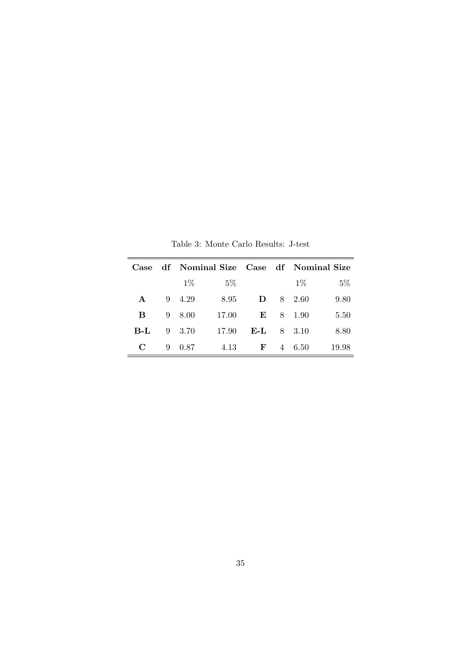|              |   | Case df Nominal Size Case df Nominal Size |       |              |               |       |  |
|--------------|---|-------------------------------------------|-------|--------------|---------------|-------|--|
|              |   | $1\%$                                     | $5\%$ |              | $1\%$         | $5\%$ |  |
| $\mathbf{A}$ |   | 9 4.29                                    | 8.95  | D            | 8 2.60        | 9.80  |  |
| B            |   | 9 8.00                                    | 17.00 | $\bf{E}$     | 8 1.90        | 5.50  |  |
| $B-L$        |   | 9 3.70                                    | 17.90 | $E-L$        | 8 3.10        | 8.80  |  |
| C            | 9 | 0.87                                      | 4.13  | $\mathbf{F}$ | $4\quad 6.50$ | 19.98 |  |

Table 3: Monte Carlo Results: J-test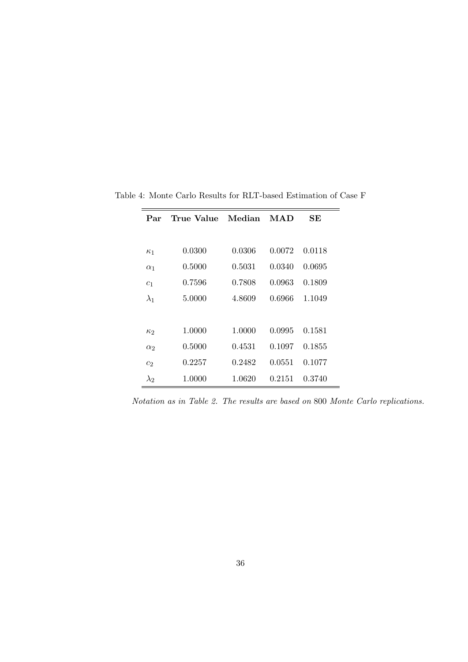| Par         | True Value | Median | MAD    | SЕ     |
|-------------|------------|--------|--------|--------|
|             |            |        |        |        |
| $\kappa_1$  | 0.0300     | 0.0306 | 0.0072 | 0.0118 |
| $\alpha_1$  | 0.5000     | 0.5031 | 0.0340 | 0.0695 |
| $c_1$       | 0.7596     | 0.7808 | 0.0963 | 0.1809 |
| $\lambda_1$ | 5.0000     | 4.8609 | 0.6966 | 1.1049 |
|             |            |        |        |        |
| $\kappa$ 2  | 1.0000     | 1.0000 | 0.0995 | 0.1581 |
| $\alpha_2$  | 0.5000     | 0.4531 | 0.1097 | 0.1855 |
| $c_2$       | 0.2257     | 0.2482 | 0.0551 | 0.1077 |
| $\lambda_2$ | 1.0000     | 1.0620 | 0.2151 | 0.3740 |

Table 4: Monte Carlo Results for RLT-based Estimation of Case F

*Notation as in Table 2. The results are based on* 800 *Monte Carlo replications.*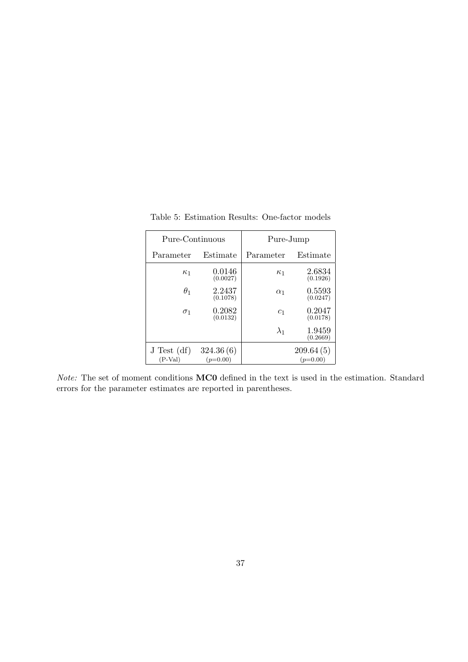| Pure-Continuous              |                         | Pure-Jump      |                         |  |
|------------------------------|-------------------------|----------------|-------------------------|--|
| Parameter                    | Estimate                | Parameter      | Estimate                |  |
| $\kappa_1$                   | 0.0146<br>(0.0027)      | $\kappa_1$     | 2.6834<br>(0.1926)      |  |
| $\theta_1$                   | 2.2437<br>(0.1078)      | $\alpha_1$     | 0.5593<br>(0.0247)      |  |
| $\sigma_1$                   | 0.2082<br>(0.0132)      | c <sub>1</sub> | 0.2047<br>(0.0178)      |  |
|                              |                         | $\lambda_1$    | 1.9459<br>(0.2669)      |  |
| $J$ Test $(df)$<br>$(P-Val)$ | 324.36(6)<br>$(p=0.00)$ |                | 209.64(5)<br>$(p=0.00)$ |  |

Table 5: Estimation Results: One-factor models

*Note:* The set of moment conditions **MC0** defined in the text is used in the estimation. Standard errors for the parameter estimates are reported in parentheses.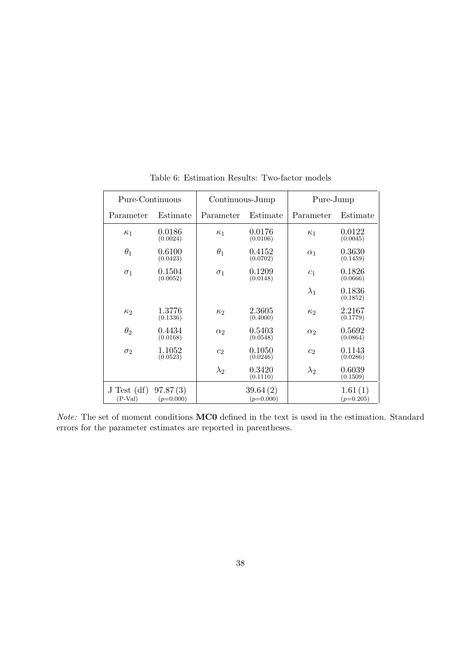| Pure-Continuous              |                         | Continuous-Jump |                         | Pure-Jump      |                        |
|------------------------------|-------------------------|-----------------|-------------------------|----------------|------------------------|
| Parameter                    | Estimate                | Parameter       | Estimate                | Parameter      | Estimate               |
| $\kappa_1$                   | 0.0186<br>(0.0024)      | $\kappa_1$      | 0.0176<br>(0.0106)      | $\kappa_1$     | 0.0122<br>(0.0045)     |
| $\theta_1$                   | 0.6100<br>(0.0423)      | $\theta_1$      | 0.4152<br>(0.0702)      | $\alpha_1$     | 0.3630<br>(0.1459)     |
| $\sigma_1$                   | 0.1504<br>(0.0052)      | $\sigma_1$      | 0.1209<br>(0.0148)      | c <sub>1</sub> | 0.1826<br>(0.0666)     |
|                              |                         |                 |                         | $\lambda_1$    | 0.1836<br>(0.1852)     |
| $\kappa$ <sub>2</sub>        | 1.3776<br>(0.1336)      | $\kappa_2$      | 2.3605<br>(0.4000)      | $\kappa_2$     | 2.2167<br>(0.1779)     |
| $\theta_2$                   | 0.4434<br>(0.0168)      | $\alpha$        | 0.5403<br>(0.0548)      | $\alpha$ ?     | 0.5692<br>(0.0864)     |
| $\sigma_2$                   | 1.1052<br>(0.0523)      | c <sub>2</sub>  | 0.1050<br>(0.0246)      | c <sub>2</sub> | 0.1143<br>(0.0286)     |
|                              |                         | $\lambda_2$     | 0.3420<br>(0.1110)      | $\lambda_2$    | 0.6039<br>(0.1509)     |
| $J$ Test $(df)$<br>$(P-Val)$ | 97.87(3)<br>$(p=0.000)$ |                 | 39.64(2)<br>$(p=0.000)$ |                | 1.61(1)<br>$(p=0.205)$ |

Table 6: Estimation Results: Two-factor models

*Note:* The set of moment conditions **MC0** defined in the text is used in the estimation. Standard errors for the parameter estimates are reported in parentheses.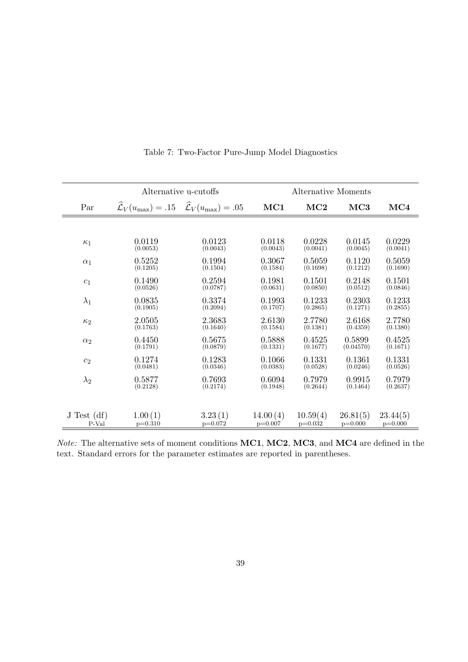|                  | Alternative u-cutoffs |                                                                                                     |           | Alternative Moments |           |           |
|------------------|-----------------------|-----------------------------------------------------------------------------------------------------|-----------|---------------------|-----------|-----------|
| Par              |                       | $\widehat{\mathcal{L}}_V(u_{\text{max}}) = .15 \quad \widehat{\mathcal{L}}_V(u_{\text{max}}) = .05$ | MC1       | MC2                 | MC3       | MC4       |
|                  |                       |                                                                                                     |           |                     |           |           |
| $\kappa_1$       | 0.0119                | 0.0123                                                                                              | 0.0118    | 0.0228              | 0.0145    | 0.0229    |
|                  | (0.0053)              | (0.0043)                                                                                            | (0.0043)  | (0.0041)            | (0.0045)  | (0.0041)  |
| $\alpha_1$       | 0.5252                | 0.1994                                                                                              | 0.3067    | 0.5059              | 0.1120    | 0.5059    |
|                  | (0.1205)              | (0.1504)                                                                                            | (0.1584)  | (0.1698)            | (0.1212)  | (0.1690)  |
| $\mathfrak{c}_1$ | 0.1490                | 0.2594                                                                                              | 0.1981    | 0.1501              | 0.2148    | 0.1501    |
|                  | (0.0526)              | (0.0787)                                                                                            | (0.0631)  | (0.0850)            | (0.0512)  | (0.0846)  |
| $\lambda_1$      | 0.0835                | 0.3374                                                                                              | 0.1993    | 0.1233              | 0.2303    | 0.1233    |
|                  | (0.1905)              | (0.2094)                                                                                            | (0.1707)  | (0.2865)            | (0.1271)  | (0.2855)  |
| $\kappa_2$       | 2.0505                | 2.3683                                                                                              | 2.6130    | 2.7780              | 2.6168    | 2.7780    |
|                  | (0.1763)              | (0.1640)                                                                                            | (0.1584)  | (0.1381)            | (0.4359)  | (0.1380)  |
| $\alpha_2$       | 0.4450                | 0.5675                                                                                              | 0.5888    | 0.4525              | 0.5899    | 0.4525    |
|                  | (0.1791)              | (0.0879)                                                                                            | (0.1331)  | (0.1677)            | (0.04570) | (0.1671)  |
| $c_2$            | 0.1274                | 0.1283                                                                                              | 0.1066    | 0.1331              | 0.1361    | 0.1331    |
|                  | (0.0481)              | (0.0346)                                                                                            | (0.0383)  | (0.0528)            | (0.0246)  | (0.0526)  |
| $\lambda_2$      | 0.5877                | 0.7693                                                                                              | 0.6094    | 0.7979              | 0.9915    | 0.7979    |
|                  | (0.2128)              | (0.2174)                                                                                            | (0.1948)  | (0.2644)            | (0.1464)  | (0.2637)  |
|                  |                       |                                                                                                     |           |                     |           |           |
| $J$ Test $(df)$  | 1.00(1)               | 3.23(1)                                                                                             | 14.00(4)  | 10.59(4)            | 26.81(5)  | 23.44(5)  |
| P-Val            | $p=0.310$             | $p=0.072$                                                                                           | $p=0.007$ | $p=0.032$           | $p=0.000$ | $p=0.000$ |

Table 7: Two-Factor Pure-Jump Model Diagnostics

*Note:* The alternative sets of moment conditions **MC1**, **MC2**, **MC3**, and **MC4** are defined in the text. Standard errors for the parameter estimates are reported in parentheses.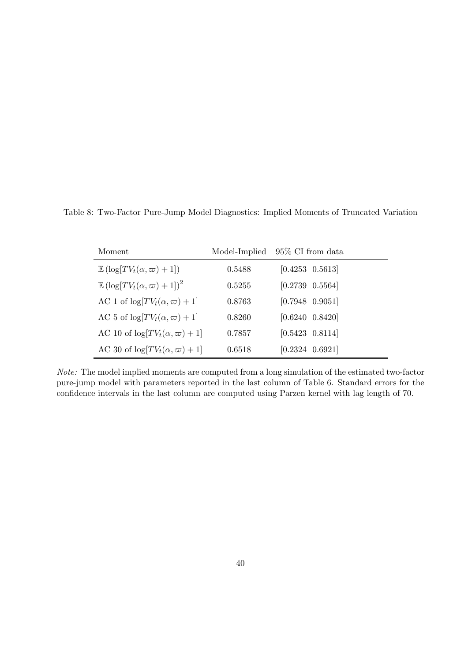| Moment                                       | Model-Implied | $95\%$ CI from data     |  |
|----------------------------------------------|---------------|-------------------------|--|
| $\mathbb{E}(\log[TV_t(\alpha,\varpi)+1])$    | 0.5488        | $[0.4253 \ \ 0.5613]$   |  |
| $\mathbb{E} (\log[TV_t(\alpha,\varpi)+1])^2$ | 0.5255        | $[0.2739 \quad 0.5564]$ |  |
| AC 1 of $\log[TV_t(\alpha,\varpi)+1]$        | 0.8763        | $[0.7948 \quad 0.9051]$ |  |
| AC 5 of $\log[TV_t(\alpha,\varpi)+1]$        | 0.8260        | $[0.6240 \ \ 0.8420]$   |  |
| AC 10 of $\log[TV_t(\alpha,\varpi)+1]$       | 0.7857        | $[0.5423 \ \ 0.8114]$   |  |
| AC 30 of $\log[TV_t(\alpha,\varpi)+1]$       | 0.6518        | $[0.2324 \ \ 0.6921]$   |  |

Table 8: Two-Factor Pure-Jump Model Diagnostics: Implied Moments of Truncated Variation

*Note:* The model implied moments are computed from a long simulation of the estimated two-factor pure-jump model with parameters reported in the last column of Table 6. Standard errors for the confidence intervals in the last column are computed using Parzen kernel with lag length of 70.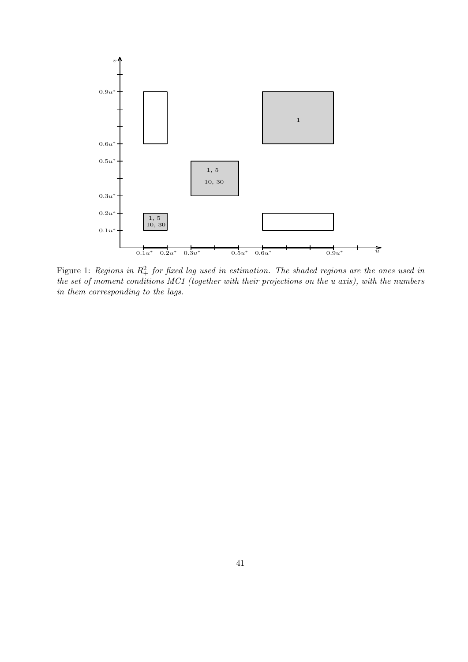

Figure 1: *Regions in*  $R_+^2$  *for fixed lag used in estimation. The shaded regions are the ones used in the set of moment conditions MC1 (together with their projections on the u axis), with the numbers in them corresponding to the lags.*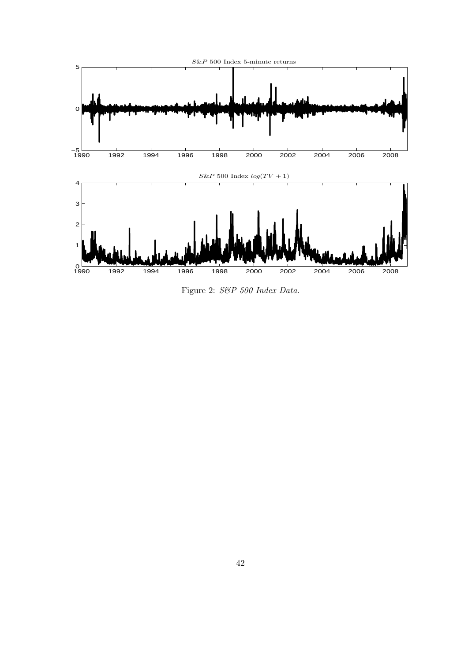

Figure 2: *S&P 500 Index Data*.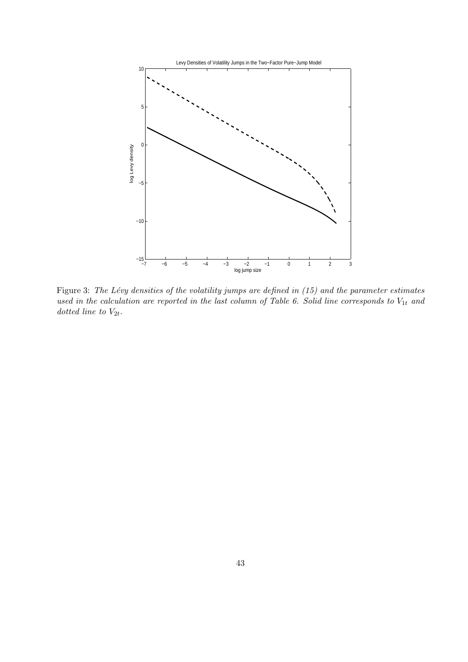

Figure 3: The Lévy densities of the volatility jumps are defined in (15) and the parameter estimates *used in the calculation are reported in the last column of Table 6. Solid line corresponds to V*1*<sup>t</sup> and dotted line to*  $V_{2t}$ *.*